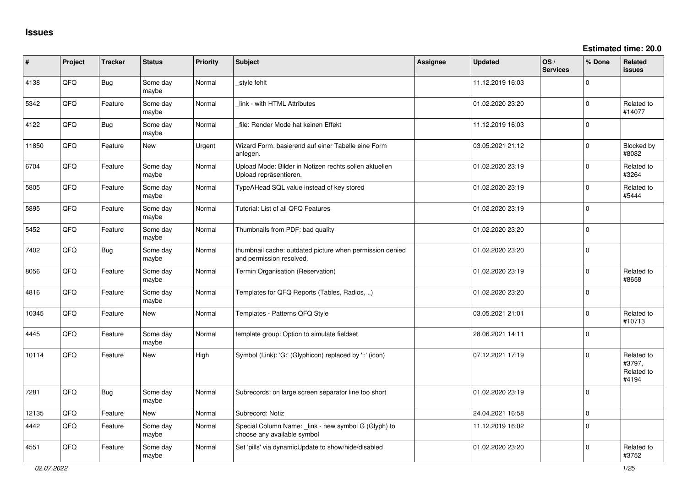**Estimated time: 20.0**

| #     | Project | <b>Tracker</b> | <b>Status</b>     | <b>Priority</b> | <b>Subject</b>                                                                       | <b>Assignee</b> | <b>Updated</b>   | OS/<br><b>Services</b> | % Done      | Related<br><b>issues</b>                    |
|-------|---------|----------------|-------------------|-----------------|--------------------------------------------------------------------------------------|-----------------|------------------|------------------------|-------------|---------------------------------------------|
| 4138  | QFQ     | <b>Bug</b>     | Some day<br>maybe | Normal          | _style fehlt                                                                         |                 | 11.12.2019 16:03 |                        | $\Omega$    |                                             |
| 5342  | QFQ     | Feature        | Some day<br>maybe | Normal          | link - with HTML Attributes                                                          |                 | 01.02.2020 23:20 |                        | $\mathbf 0$ | Related to<br>#14077                        |
| 4122  | QFQ     | Bug            | Some day<br>maybe | Normal          | file: Render Mode hat keinen Effekt                                                  |                 | 11.12.2019 16:03 |                        | $\Omega$    |                                             |
| 11850 | QFQ     | Feature        | New               | Urgent          | Wizard Form: basierend auf einer Tabelle eine Form<br>anlegen.                       |                 | 03.05.2021 21:12 |                        | $\mathbf 0$ | <b>Blocked by</b><br>#8082                  |
| 6704  | QFQ     | Feature        | Some day<br>maybe | Normal          | Upload Mode: Bilder in Notizen rechts sollen aktuellen<br>Upload repräsentieren.     |                 | 01.02.2020 23:19 |                        | $\mathbf 0$ | Related to<br>#3264                         |
| 5805  | QFQ     | Feature        | Some day<br>maybe | Normal          | TypeAHead SQL value instead of key stored                                            |                 | 01.02.2020 23:19 |                        | $\mathbf 0$ | Related to<br>#5444                         |
| 5895  | QFQ     | Feature        | Some day<br>maybe | Normal          | Tutorial: List of all QFQ Features                                                   |                 | 01.02.2020 23:19 |                        | $\mathbf 0$ |                                             |
| 5452  | QFQ     | Feature        | Some day<br>maybe | Normal          | Thumbnails from PDF: bad quality                                                     |                 | 01.02.2020 23:20 |                        | $\Omega$    |                                             |
| 7402  | QFQ     | <b>Bug</b>     | Some day<br>maybe | Normal          | thumbnail cache: outdated picture when permission denied<br>and permission resolved. |                 | 01.02.2020 23:20 |                        | $\mathbf 0$ |                                             |
| 8056  | QFQ     | Feature        | Some day<br>maybe | Normal          | Termin Organisation (Reservation)                                                    |                 | 01.02.2020 23:19 |                        | $\mathbf 0$ | Related to<br>#8658                         |
| 4816  | QFQ     | Feature        | Some day<br>maybe | Normal          | Templates for QFQ Reports (Tables, Radios, )                                         |                 | 01.02.2020 23:20 |                        | $\mathbf 0$ |                                             |
| 10345 | QFQ     | Feature        | <b>New</b>        | Normal          | Templates - Patterns QFQ Style                                                       |                 | 03.05.2021 21:01 |                        | $\mathbf 0$ | Related to<br>#10713                        |
| 4445  | QFQ     | Feature        | Some day<br>maybe | Normal          | template group: Option to simulate fieldset                                          |                 | 28.06.2021 14:11 |                        | $\Omega$    |                                             |
| 10114 | QFQ     | Feature        | <b>New</b>        | High            | Symbol (Link): 'G:' (Glyphicon) replaced by 'i:' (icon)                              |                 | 07.12.2021 17:19 |                        | $\Omega$    | Related to<br>#3797,<br>Related to<br>#4194 |
| 7281  | QFQ     | <b>Bug</b>     | Some day<br>maybe | Normal          | Subrecords: on large screen separator line too short                                 |                 | 01.02.2020 23:19 |                        | $\Omega$    |                                             |
| 12135 | QFQ     | Feature        | New               | Normal          | Subrecord: Notiz                                                                     |                 | 24.04.2021 16:58 |                        | $\mathbf 0$ |                                             |
| 4442  | QFQ     | Feature        | Some day<br>maybe | Normal          | Special Column Name: _link - new symbol G (Glyph) to<br>choose any available symbol  |                 | 11.12.2019 16:02 |                        | $\mathbf 0$ |                                             |
| 4551  | QFQ     | Feature        | Some day<br>maybe | Normal          | Set 'pills' via dynamicUpdate to show/hide/disabled                                  |                 | 01.02.2020 23:20 |                        | $\Omega$    | Related to<br>#3752                         |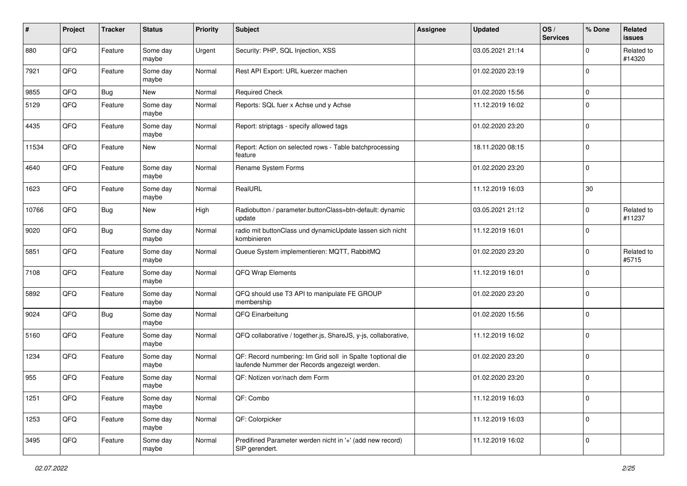| #     | Project | <b>Tracker</b> | <b>Status</b>     | <b>Priority</b> | <b>Subject</b>                                                                                               | <b>Assignee</b> | <b>Updated</b>   | OS/<br><b>Services</b> | % Done      | Related<br>issues    |
|-------|---------|----------------|-------------------|-----------------|--------------------------------------------------------------------------------------------------------------|-----------------|------------------|------------------------|-------------|----------------------|
| 880   | QFQ     | Feature        | Some day<br>maybe | Urgent          | Security: PHP, SQL Injection, XSS                                                                            |                 | 03.05.2021 21:14 |                        | $\Omega$    | Related to<br>#14320 |
| 7921  | QFQ     | Feature        | Some day<br>maybe | Normal          | Rest API Export: URL kuerzer machen                                                                          |                 | 01.02.2020 23:19 |                        | $\mathbf 0$ |                      |
| 9855  | QFQ     | <b>Bug</b>     | New               | Normal          | <b>Required Check</b>                                                                                        |                 | 01.02.2020 15:56 |                        | 0           |                      |
| 5129  | QFQ     | Feature        | Some day<br>maybe | Normal          | Reports: SQL fuer x Achse und y Achse                                                                        |                 | 11.12.2019 16:02 |                        | $\Omega$    |                      |
| 4435  | QFQ     | Feature        | Some day<br>maybe | Normal          | Report: striptags - specify allowed tags                                                                     |                 | 01.02.2020 23:20 |                        | $\mathbf 0$ |                      |
| 11534 | QFQ     | Feature        | New               | Normal          | Report: Action on selected rows - Table batchprocessing<br>feature                                           |                 | 18.11.2020 08:15 |                        | $\mathbf 0$ |                      |
| 4640  | QFQ     | Feature        | Some day<br>maybe | Normal          | Rename System Forms                                                                                          |                 | 01.02.2020 23:20 |                        | $\mathbf 0$ |                      |
| 1623  | QFQ     | Feature        | Some day<br>maybe | Normal          | RealURL                                                                                                      |                 | 11.12.2019 16:03 |                        | 30          |                      |
| 10766 | QFQ     | <b>Bug</b>     | New               | High            | Radiobutton / parameter.buttonClass=btn-default: dynamic<br>update                                           |                 | 03.05.2021 21:12 |                        | 0           | Related to<br>#11237 |
| 9020  | QFQ     | <b>Bug</b>     | Some day<br>maybe | Normal          | radio mit buttonClass und dynamicUpdate lassen sich nicht<br>kombinieren                                     |                 | 11.12.2019 16:01 |                        | $\mathbf 0$ |                      |
| 5851  | QFQ     | Feature        | Some day<br>maybe | Normal          | Queue System implementieren: MQTT, RabbitMQ                                                                  |                 | 01.02.2020 23:20 |                        | $\mathbf 0$ | Related to<br>#5715  |
| 7108  | QFQ     | Feature        | Some day<br>maybe | Normal          | QFQ Wrap Elements                                                                                            |                 | 11.12.2019 16:01 |                        | $\Omega$    |                      |
| 5892  | QFQ     | Feature        | Some day<br>maybe | Normal          | QFQ should use T3 API to manipulate FE GROUP<br>membership                                                   |                 | 01.02.2020 23:20 |                        | $\mathbf 0$ |                      |
| 9024  | QFQ     | <b>Bug</b>     | Some day<br>maybe | Normal          | QFQ Einarbeitung                                                                                             |                 | 01.02.2020 15:56 |                        | $\mathbf 0$ |                      |
| 5160  | QFQ     | Feature        | Some day<br>maybe | Normal          | QFQ collaborative / together.js, ShareJS, y-js, collaborative,                                               |                 | 11.12.2019 16:02 |                        | $\mathbf 0$ |                      |
| 1234  | QFQ     | Feature        | Some day<br>maybe | Normal          | QF: Record numbering: Im Grid soll in Spalte 1 optional die<br>laufende Nummer der Records angezeigt werden. |                 | 01.02.2020 23:20 |                        | $\mathbf 0$ |                      |
| 955   | QFQ     | Feature        | Some day<br>maybe | Normal          | QF: Notizen vor/nach dem Form                                                                                |                 | 01.02.2020 23:20 |                        | $\mathbf 0$ |                      |
| 1251  | QFQ     | Feature        | Some day<br>maybe | Normal          | QF: Combo                                                                                                    |                 | 11.12.2019 16:03 |                        | $\mathbf 0$ |                      |
| 1253  | QFQ     | Feature        | Some day<br>maybe | Normal          | QF: Colorpicker                                                                                              |                 | 11.12.2019 16:03 |                        | 0           |                      |
| 3495  | QFQ     | Feature        | Some day<br>maybe | Normal          | Predifined Parameter werden nicht in '+' (add new record)<br>SIP gerendert.                                  |                 | 11.12.2019 16:02 |                        | $\mathbf 0$ |                      |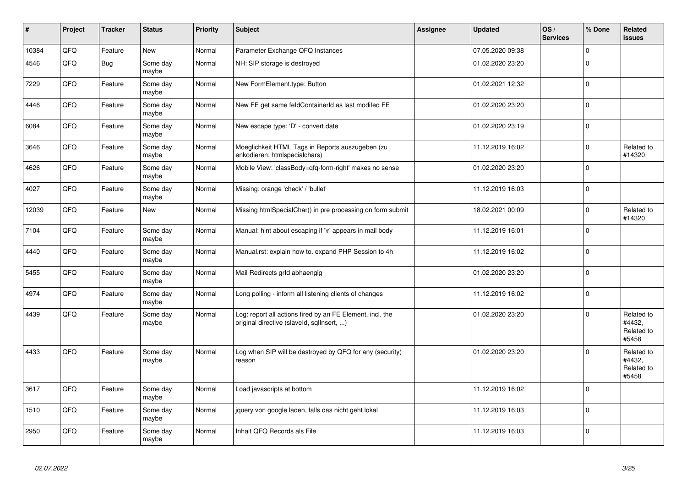| $\sharp$ | Project | <b>Tracker</b> | <b>Status</b>     | <b>Priority</b> | <b>Subject</b>                                                                                         | <b>Assignee</b> | <b>Updated</b>   | OS/<br><b>Services</b> | % Done      | Related<br><b>issues</b>                    |
|----------|---------|----------------|-------------------|-----------------|--------------------------------------------------------------------------------------------------------|-----------------|------------------|------------------------|-------------|---------------------------------------------|
| 10384    | QFQ     | Feature        | New               | Normal          | Parameter Exchange QFQ Instances                                                                       |                 | 07.05.2020 09:38 |                        | $\Omega$    |                                             |
| 4546     | QFQ     | Bug            | Some day<br>maybe | Normal          | NH: SIP storage is destroyed                                                                           |                 | 01.02.2020 23:20 |                        | $\Omega$    |                                             |
| 7229     | QFQ     | Feature        | Some day<br>maybe | Normal          | New FormElement.type: Button                                                                           |                 | 01.02.2021 12:32 |                        | $\Omega$    |                                             |
| 4446     | QFQ     | Feature        | Some day<br>maybe | Normal          | New FE get same feldContainerId as last modifed FE                                                     |                 | 01.02.2020 23:20 |                        | $\mathbf 0$ |                                             |
| 6084     | QFQ     | Feature        | Some day<br>maybe | Normal          | New escape type: 'D' - convert date                                                                    |                 | 01.02.2020 23:19 |                        | $\mathbf 0$ |                                             |
| 3646     | QFQ     | Feature        | Some day<br>maybe | Normal          | Moeglichkeit HTML Tags in Reports auszugeben (zu<br>enkodieren: htmlspecialchars)                      |                 | 11.12.2019 16:02 |                        | $\Omega$    | Related to<br>#14320                        |
| 4626     | QFQ     | Feature        | Some day<br>maybe | Normal          | Mobile View: 'classBody=qfq-form-right' makes no sense                                                 |                 | 01.02.2020 23:20 |                        | $\Omega$    |                                             |
| 4027     | QFQ     | Feature        | Some day<br>maybe | Normal          | Missing: orange 'check' / 'bullet'                                                                     |                 | 11.12.2019 16:03 |                        | $\Omega$    |                                             |
| 12039    | QFQ     | Feature        | <b>New</b>        | Normal          | Missing htmlSpecialChar() in pre processing on form submit                                             |                 | 18.02.2021 00:09 |                        | $\Omega$    | Related to<br>#14320                        |
| 7104     | QFQ     | Feature        | Some day<br>maybe | Normal          | Manual: hint about escaping if '\r' appears in mail body                                               |                 | 11.12.2019 16:01 |                        | $\Omega$    |                                             |
| 4440     | QFQ     | Feature        | Some day<br>maybe | Normal          | Manual.rst: explain how to. expand PHP Session to 4h                                                   |                 | 11.12.2019 16:02 |                        | $\Omega$    |                                             |
| 5455     | QFQ     | Feature        | Some day<br>maybe | Normal          | Mail Redirects grld abhaengig                                                                          |                 | 01.02.2020 23:20 |                        | $\Omega$    |                                             |
| 4974     | QFQ     | Feature        | Some day<br>maybe | Normal          | Long polling - inform all listening clients of changes                                                 |                 | 11.12.2019 16:02 |                        | $\Omega$    |                                             |
| 4439     | QFQ     | Feature        | Some day<br>maybe | Normal          | Log: report all actions fired by an FE Element, incl. the<br>original directive (slaveld, sqllnsert, ) |                 | 01.02.2020 23:20 |                        | $\Omega$    | Related to<br>#4432,<br>Related to<br>#5458 |
| 4433     | QFQ     | Feature        | Some day<br>maybe | Normal          | Log when SIP will be destroyed by QFQ for any (security)<br>reason                                     |                 | 01.02.2020 23:20 |                        | $\Omega$    | Related to<br>#4432,<br>Related to<br>#5458 |
| 3617     | QFQ     | Feature        | Some day<br>maybe | Normal          | Load javascripts at bottom                                                                             |                 | 11.12.2019 16:02 |                        | $\Omega$    |                                             |
| 1510     | QFQ     | Feature        | Some day<br>maybe | Normal          | jquery von google laden, falls das nicht geht lokal                                                    |                 | 11.12.2019 16:03 |                        | $\Omega$    |                                             |
| 2950     | QFQ     | Feature        | Some day<br>maybe | Normal          | Inhalt QFQ Records als File                                                                            |                 | 11.12.2019 16:03 |                        | $\Omega$    |                                             |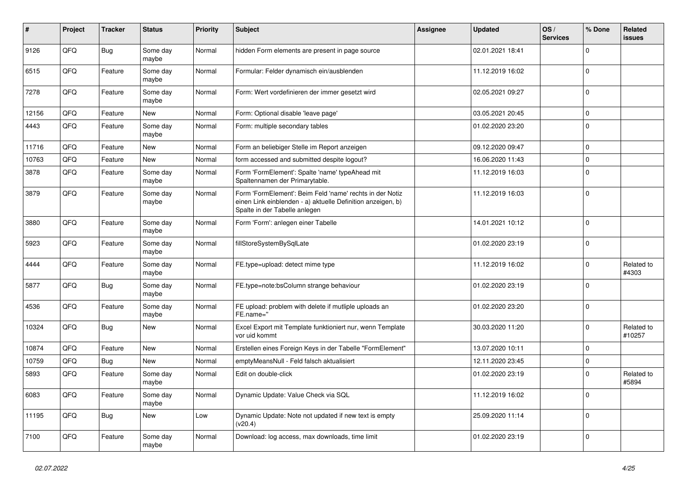| #     | Project | <b>Tracker</b> | <b>Status</b>     | <b>Priority</b> | <b>Subject</b>                                                                                                                                           | <b>Assignee</b> | <b>Updated</b>   | OS/<br><b>Services</b> | % Done      | Related<br>issues    |
|-------|---------|----------------|-------------------|-----------------|----------------------------------------------------------------------------------------------------------------------------------------------------------|-----------------|------------------|------------------------|-------------|----------------------|
| 9126  | QFQ     | <b>Bug</b>     | Some day<br>maybe | Normal          | hidden Form elements are present in page source                                                                                                          |                 | 02.01.2021 18:41 |                        | $\mathbf 0$ |                      |
| 6515  | QFQ     | Feature        | Some day<br>maybe | Normal          | Formular: Felder dynamisch ein/ausblenden                                                                                                                |                 | 11.12.2019 16:02 |                        | $\mathbf 0$ |                      |
| 7278  | QFQ     | Feature        | Some day<br>maybe | Normal          | Form: Wert vordefinieren der immer gesetzt wird                                                                                                          |                 | 02.05.2021 09:27 |                        | $\Omega$    |                      |
| 12156 | QFQ     | Feature        | <b>New</b>        | Normal          | Form: Optional disable 'leave page'                                                                                                                      |                 | 03.05.2021 20:45 |                        | $\mathbf 0$ |                      |
| 4443  | QFQ     | Feature        | Some day<br>maybe | Normal          | Form: multiple secondary tables                                                                                                                          |                 | 01.02.2020 23:20 |                        | $\Omega$    |                      |
| 11716 | QFQ     | Feature        | New               | Normal          | Form an beliebiger Stelle im Report anzeigen                                                                                                             |                 | 09.12.2020 09:47 |                        | $\mathbf 0$ |                      |
| 10763 | QFQ     | Feature        | New               | Normal          | form accessed and submitted despite logout?                                                                                                              |                 | 16.06.2020 11:43 |                        | $\mathbf 0$ |                      |
| 3878  | QFQ     | Feature        | Some day<br>maybe | Normal          | Form 'FormElement': Spalte 'name' typeAhead mit<br>Spaltennamen der Primarytable.                                                                        |                 | 11.12.2019 16:03 |                        | $\Omega$    |                      |
| 3879  | QFQ     | Feature        | Some day<br>maybe | Normal          | Form 'FormElement': Beim Feld 'name' rechts in der Notiz<br>einen Link einblenden - a) aktuelle Definition anzeigen, b)<br>Spalte in der Tabelle anlegen |                 | 11.12.2019 16:03 |                        | $\mathbf 0$ |                      |
| 3880  | QFQ     | Feature        | Some day<br>maybe | Normal          | Form 'Form': anlegen einer Tabelle                                                                                                                       |                 | 14.01.2021 10:12 |                        | $\Omega$    |                      |
| 5923  | QFQ     | Feature        | Some day<br>maybe | Normal          | fillStoreSystemBySqlLate                                                                                                                                 |                 | 01.02.2020 23:19 |                        | $\Omega$    |                      |
| 4444  | QFQ     | Feature        | Some day<br>maybe | Normal          | FE.type=upload: detect mime type                                                                                                                         |                 | 11.12.2019 16:02 |                        | $\mathbf 0$ | Related to<br>#4303  |
| 5877  | QFQ     | Bug            | Some day<br>maybe | Normal          | FE.type=note:bsColumn strange behaviour                                                                                                                  |                 | 01.02.2020 23:19 |                        | $\mathbf 0$ |                      |
| 4536  | QFQ     | Feature        | Some day<br>maybe | Normal          | FE upload: problem with delete if mutliple uploads an<br>FE.name="                                                                                       |                 | 01.02.2020 23:20 |                        | $\Omega$    |                      |
| 10324 | QFQ     | <b>Bug</b>     | <b>New</b>        | Normal          | Excel Export mit Template funktioniert nur, wenn Template<br>vor uid kommt                                                                               |                 | 30.03.2020 11:20 |                        | $\Omega$    | Related to<br>#10257 |
| 10874 | QFQ     | Feature        | New               | Normal          | Erstellen eines Foreign Keys in der Tabelle "FormElement"                                                                                                |                 | 13.07.2020 10:11 |                        | $\mathbf 0$ |                      |
| 10759 | QFQ     | Bug            | New               | Normal          | emptyMeansNull - Feld falsch aktualisiert                                                                                                                |                 | 12.11.2020 23:45 |                        | $\mathbf 0$ |                      |
| 5893  | QFQ     | Feature        | Some day<br>maybe | Normal          | Edit on double-click                                                                                                                                     |                 | 01.02.2020 23:19 |                        | $\mathbf 0$ | Related to<br>#5894  |
| 6083  | QFQ     | Feature        | Some day<br>maybe | Normal          | Dynamic Update: Value Check via SQL                                                                                                                      |                 | 11.12.2019 16:02 |                        | $\Omega$    |                      |
| 11195 | QFQ     | <b>Bug</b>     | <b>New</b>        | Low             | Dynamic Update: Note not updated if new text is empty<br>(v20.4)                                                                                         |                 | 25.09.2020 11:14 |                        | $\Omega$    |                      |
| 7100  | QFQ     | Feature        | Some day<br>maybe | Normal          | Download: log access, max downloads, time limit                                                                                                          |                 | 01.02.2020 23:19 |                        | $\Omega$    |                      |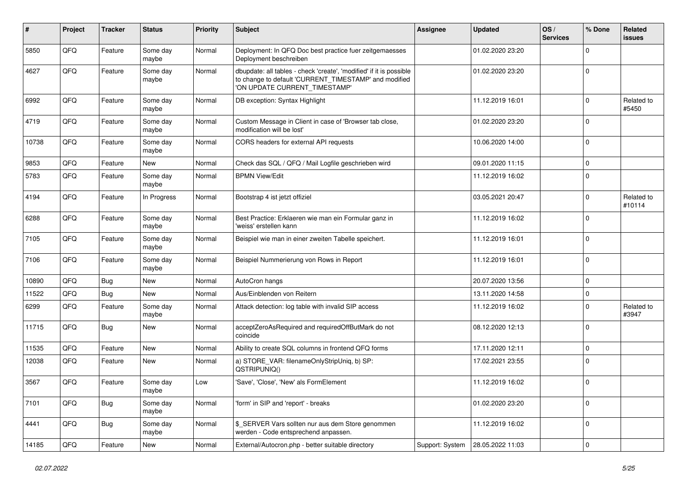| #     | Project | <b>Tracker</b> | <b>Status</b>     | <b>Priority</b> | <b>Subject</b>                                                                                                                                                | <b>Assignee</b> | <b>Updated</b>   | OS/<br><b>Services</b> | % Done      | Related<br>issues    |
|-------|---------|----------------|-------------------|-----------------|---------------------------------------------------------------------------------------------------------------------------------------------------------------|-----------------|------------------|------------------------|-------------|----------------------|
| 5850  | QFQ     | Feature        | Some day<br>maybe | Normal          | Deployment: In QFQ Doc best practice fuer zeitgemaesses<br>Deployment beschreiben                                                                             |                 | 01.02.2020 23:20 |                        | 0           |                      |
| 4627  | QFQ     | Feature        | Some day<br>maybe | Normal          | dbupdate: all tables - check 'create', 'modified' if it is possible<br>to change to default 'CURRENT TIMESTAMP' and modified<br>'ON UPDATE CURRENT_TIMESTAMP' |                 | 01.02.2020 23:20 |                        | $\mathbf 0$ |                      |
| 6992  | QFQ     | Feature        | Some day<br>maybe | Normal          | DB exception: Syntax Highlight                                                                                                                                |                 | 11.12.2019 16:01 |                        | $\Omega$    | Related to<br>#5450  |
| 4719  | QFQ     | Feature        | Some day<br>maybe | Normal          | Custom Message in Client in case of 'Browser tab close,<br>modification will be lost'                                                                         |                 | 01.02.2020 23:20 |                        | 0           |                      |
| 10738 | QFQ     | Feature        | Some day<br>maybe | Normal          | CORS headers for external API requests                                                                                                                        |                 | 10.06.2020 14:00 |                        | $\mathbf 0$ |                      |
| 9853  | QFQ     | Feature        | New               | Normal          | Check das SQL / QFQ / Mail Logfile geschrieben wird                                                                                                           |                 | 09.01.2020 11:15 |                        | $\mathbf 0$ |                      |
| 5783  | QFQ     | Feature        | Some day<br>maybe | Normal          | <b>BPMN View/Edit</b>                                                                                                                                         |                 | 11.12.2019 16:02 |                        | $\Omega$    |                      |
| 4194  | QFQ     | Feature        | In Progress       | Normal          | Bootstrap 4 ist jetzt offiziel                                                                                                                                |                 | 03.05.2021 20:47 |                        | 0           | Related to<br>#10114 |
| 6288  | QFQ     | Feature        | Some day<br>maybe | Normal          | Best Practice: Erklaeren wie man ein Formular ganz in<br>'weiss' erstellen kann                                                                               |                 | 11.12.2019 16:02 |                        | 0           |                      |
| 7105  | QFQ     | Feature        | Some day<br>maybe | Normal          | Beispiel wie man in einer zweiten Tabelle speichert.                                                                                                          |                 | 11.12.2019 16:01 |                        | $\Omega$    |                      |
| 7106  | QFQ     | Feature        | Some day<br>maybe | Normal          | Beispiel Nummerierung von Rows in Report                                                                                                                      |                 | 11.12.2019 16:01 |                        | $\Omega$    |                      |
| 10890 | QFQ     | Bug            | New               | Normal          | AutoCron hangs                                                                                                                                                |                 | 20.07.2020 13:56 |                        | $\mathbf 0$ |                      |
| 11522 | QFQ     | Bug            | <b>New</b>        | Normal          | Aus/Einblenden von Reitern                                                                                                                                    |                 | 13.11.2020 14:58 |                        | $\Omega$    |                      |
| 6299  | QFQ     | Feature        | Some day<br>maybe | Normal          | Attack detection: log table with invalid SIP access                                                                                                           |                 | 11.12.2019 16:02 |                        | $\Omega$    | Related to<br>#3947  |
| 11715 | QFQ     | Bug            | New               | Normal          | acceptZeroAsRequired and requiredOffButMark do not<br>coincide                                                                                                |                 | 08.12.2020 12:13 |                        | 0           |                      |
| 11535 | QFQ     | Feature        | New               | Normal          | Ability to create SQL columns in frontend QFQ forms                                                                                                           |                 | 17.11.2020 12:11 |                        | $\mathbf 0$ |                      |
| 12038 | QFQ     | Feature        | New               | Normal          | a) STORE_VAR: filenameOnlyStripUniq, b) SP:<br>QSTRIPUNIQ()                                                                                                   |                 | 17.02.2021 23:55 |                        | $\Omega$    |                      |
| 3567  | QFQ     | Feature        | Some day<br>maybe | Low             | 'Save', 'Close', 'New' als FormElement                                                                                                                        |                 | 11.12.2019 16:02 |                        | $\mathbf 0$ |                      |
| 7101  | QFO     | <b>Bug</b>     | Some day<br>maybe | Normal          | 'form' in SIP and 'report' - breaks                                                                                                                           |                 | 01.02.2020 23:20 |                        | $\mathbf 0$ |                      |
| 4441  | QFQ     | <b>Bug</b>     | Some day<br>maybe | Normal          | \$_SERVER Vars sollten nur aus dem Store genommen<br>werden - Code entsprechend anpassen.                                                                     |                 | 11.12.2019 16:02 |                        | $\mathbf 0$ |                      |
| 14185 | QFQ     | Feature        | New               | Normal          | External/Autocron.php - better suitable directory                                                                                                             | Support: System | 28.05.2022 11:03 |                        | 0           |                      |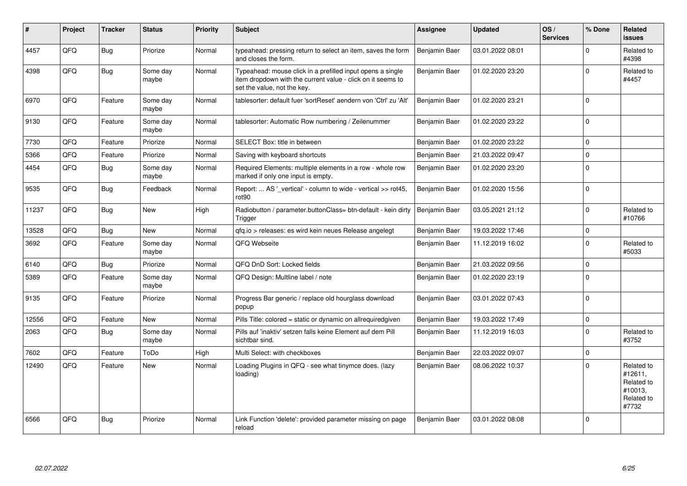| #     | Project | <b>Tracker</b> | <b>Status</b>     | <b>Priority</b> | <b>Subject</b>                                                                                                                                           | <b>Assignee</b>      | <b>Updated</b>   | OS/<br><b>Services</b> | % Done      | Related<br><b>issues</b>                                              |
|-------|---------|----------------|-------------------|-----------------|----------------------------------------------------------------------------------------------------------------------------------------------------------|----------------------|------------------|------------------------|-------------|-----------------------------------------------------------------------|
| 4457  | QFQ     | Bug            | Priorize          | Normal          | typeahead: pressing return to select an item, saves the form<br>and closes the form.                                                                     | Benjamin Baer        | 03.01.2022 08:01 |                        | $\Omega$    | Related to<br>#4398                                                   |
| 4398  | QFQ     | <b>Bug</b>     | Some day<br>maybe | Normal          | Typeahead: mouse click in a prefilled input opens a single<br>item dropdown with the current value - click on it seems to<br>set the value, not the key. | Benjamin Baer        | 01.02.2020 23:20 |                        | $\Omega$    | Related to<br>#4457                                                   |
| 6970  | QFQ     | Feature        | Some day<br>maybe | Normal          | tablesorter: default fuer 'sortReset' aendern von 'Ctrl' zu 'Alt'                                                                                        | <b>Benjamin Baer</b> | 01.02.2020 23:21 |                        | $\Omega$    |                                                                       |
| 9130  | QFQ     | Feature        | Some day<br>maybe | Normal          | tablesorter: Automatic Row numbering / Zeilenummer                                                                                                       | Benjamin Baer        | 01.02.2020 23:22 |                        | $\mathbf 0$ |                                                                       |
| 7730  | QFQ     | Feature        | Priorize          | Normal          | SELECT Box: title in between                                                                                                                             | Benjamin Baer        | 01.02.2020 23:22 |                        | $\Omega$    |                                                                       |
| 5366  | QFQ     | Feature        | Priorize          | Normal          | Saving with keyboard shortcuts                                                                                                                           | Benjamin Baer        | 21.03.2022 09:47 |                        | $\Omega$    |                                                                       |
| 4454  | QFQ     | Bug            | Some day<br>maybe | Normal          | Required Elements: multiple elements in a row - whole row<br>marked if only one input is empty.                                                          | Benjamin Baer        | 01.02.2020 23:20 |                        | $\Omega$    |                                                                       |
| 9535  | QFQ     | <b>Bug</b>     | Feedback          | Normal          | Report:  AS '_vertical' - column to wide - vertical >> rot45,<br>rot90                                                                                   | Benjamin Baer        | 01.02.2020 15:56 |                        | $\Omega$    |                                                                       |
| 11237 | QFQ     | Bug            | <b>New</b>        | High            | Radiobutton / parameter.buttonClass= btn-default - kein dirty<br>Trigger                                                                                 | Benjamin Baer        | 03.05.2021 21:12 |                        | $\Omega$    | Related to<br>#10766                                                  |
| 13528 | QFQ     | Bug            | New               | Normal          | gfg.io > releases: es wird kein neues Release angelegt                                                                                                   | Benjamin Baer        | 19.03.2022 17:46 |                        | $\mathbf 0$ |                                                                       |
| 3692  | QFQ     | Feature        | Some day<br>maybe | Normal          | QFQ Webseite                                                                                                                                             | Benjamin Baer        | 11.12.2019 16:02 |                        | $\Omega$    | Related to<br>#5033                                                   |
| 6140  | QFQ     | Bug            | Priorize          | Normal          | QFQ DnD Sort: Locked fields                                                                                                                              | Benjamin Baer        | 21.03.2022 09:56 |                        | $\Omega$    |                                                                       |
| 5389  | QFQ     | Feature        | Some day<br>maybe | Normal          | QFQ Design: Multline label / note                                                                                                                        | Benjamin Baer        | 01.02.2020 23:19 |                        | $\Omega$    |                                                                       |
| 9135  | QFQ     | Feature        | Priorize          | Normal          | Progress Bar generic / replace old hourglass download<br>popup                                                                                           | Benjamin Baer        | 03.01.2022 07:43 |                        | $\Omega$    |                                                                       |
| 12556 | QFQ     | Feature        | <b>New</b>        | Normal          | Pills Title: colored = static or dynamic on allrequiredgiven                                                                                             | Benjamin Baer        | 19.03.2022 17:49 |                        | $\mathbf 0$ |                                                                       |
| 2063  | QFQ     | <b>Bug</b>     | Some day<br>maybe | Normal          | Pills auf 'inaktiv' setzen falls keine Element auf dem Pill<br>sichtbar sind.                                                                            | Benjamin Baer        | 11.12.2019 16:03 |                        | $\Omega$    | Related to<br>#3752                                                   |
| 7602  | QFQ     | Feature        | ToDo              | High            | Multi Select: with checkboxes                                                                                                                            | Benjamin Baer        | 22.03.2022 09:07 |                        | $\Omega$    |                                                                       |
| 12490 | QFQ     | Feature        | New               | Normal          | Loading Plugins in QFQ - see what tinymce does. (lazy<br>loading)                                                                                        | Benjamin Baer        | 08.06.2022 10:37 |                        | $\Omega$    | Related to<br>#12611,<br>Related to<br>#10013,<br>Related to<br>#7732 |
| 6566  | QFQ     | Bug            | Priorize          | Normal          | Link Function 'delete': provided parameter missing on page<br>reload                                                                                     | Benjamin Baer        | 03.01.2022 08:08 |                        | $\Omega$    |                                                                       |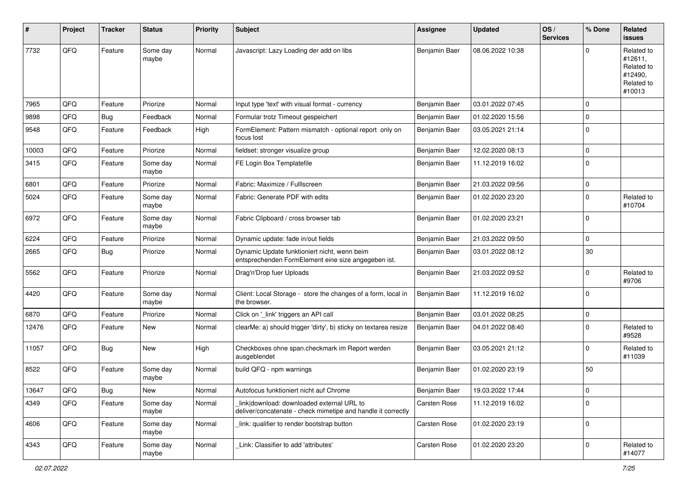| ∦     | Project | <b>Tracker</b> | <b>Status</b>     | <b>Priority</b> | <b>Subject</b>                                                                                            | <b>Assignee</b>     | <b>Updated</b>   | OS/<br><b>Services</b> | % Done      | Related<br>issues                                                      |
|-------|---------|----------------|-------------------|-----------------|-----------------------------------------------------------------------------------------------------------|---------------------|------------------|------------------------|-------------|------------------------------------------------------------------------|
| 7732  | QFQ     | Feature        | Some day<br>maybe | Normal          | Javascript: Lazy Loading der add on libs                                                                  | Benjamin Baer       | 08.06.2022 10:38 |                        | $\Omega$    | Related to<br>#12611,<br>Related to<br>#12490,<br>Related to<br>#10013 |
| 7965  | QFQ     | Feature        | Priorize          | Normal          | Input type 'text' with visual format - currency                                                           | Benjamin Baer       | 03.01.2022 07:45 |                        | $\mathbf 0$ |                                                                        |
| 9898  | QFQ     | Bug            | Feedback          | Normal          | Formular trotz Timeout gespeichert                                                                        | Benjamin Baer       | 01.02.2020 15:56 |                        | $\mathbf 0$ |                                                                        |
| 9548  | QFQ     | Feature        | Feedback          | High            | FormElement: Pattern mismatch - optional report only on<br>focus lost                                     | Benjamin Baer       | 03.05.2021 21:14 |                        | $\mathbf 0$ |                                                                        |
| 10003 | QFQ     | Feature        | Priorize          | Normal          | fieldset: stronger visualize group                                                                        | Benjamin Baer       | 12.02.2020 08:13 |                        | $\mathbf 0$ |                                                                        |
| 3415  | QFQ     | Feature        | Some day<br>maybe | Normal          | FE Login Box Templatefile                                                                                 | Benjamin Baer       | 11.12.2019 16:02 |                        | $\Omega$    |                                                                        |
| 6801  | QFQ     | Feature        | Priorize          | Normal          | Fabric: Maximize / Fulllscreen                                                                            | Benjamin Baer       | 21.03.2022 09:56 |                        | $\mathbf 0$ |                                                                        |
| 5024  | QFQ     | Feature        | Some day<br>maybe | Normal          | Fabric: Generate PDF with edits                                                                           | Benjamin Baer       | 01.02.2020 23:20 |                        | $\Omega$    | Related to<br>#10704                                                   |
| 6972  | QFQ     | Feature        | Some day<br>maybe | Normal          | Fabric Clipboard / cross browser tab                                                                      | Benjamin Baer       | 01.02.2020 23:21 |                        | $\mathbf 0$ |                                                                        |
| 6224  | QFQ     | Feature        | Priorize          | Normal          | Dynamic update: fade in/out fields                                                                        | Benjamin Baer       | 21.03.2022 09:50 |                        | $\mathbf 0$ |                                                                        |
| 2665  | QFQ     | Bug            | Priorize          | Normal          | Dynamic Update funktioniert nicht, wenn beim<br>entsprechenden FormElement eine size angegeben ist.       | Benjamin Baer       | 03.01.2022 08:12 |                        | 30          |                                                                        |
| 5562  | QFQ     | Feature        | Priorize          | Normal          | Drag'n'Drop fuer Uploads                                                                                  | Benjamin Baer       | 21.03.2022 09:52 |                        | $\Omega$    | Related to<br>#9706                                                    |
| 4420  | QFQ     | Feature        | Some day<br>maybe | Normal          | Client: Local Storage - store the changes of a form, local in<br>the browser.                             | Benjamin Baer       | 11.12.2019 16:02 |                        | $\Omega$    |                                                                        |
| 6870  | QFQ     | Feature        | Priorize          | Normal          | Click on '_link' triggers an API call                                                                     | Benjamin Baer       | 03.01.2022 08:25 |                        | $\mathbf 0$ |                                                                        |
| 12476 | QFQ     | Feature        | New               | Normal          | clearMe: a) should trigger 'dirty', b) sticky on textarea resize                                          | Benjamin Baer       | 04.01.2022 08:40 |                        | $\Omega$    | Related to<br>#9528                                                    |
| 11057 | QFQ     | Bug            | New               | High            | Checkboxes ohne span.checkmark im Report werden<br>ausgeblendet                                           | Benjamin Baer       | 03.05.2021 21:12 |                        | $\Omega$    | Related to<br>#11039                                                   |
| 8522  | QFQ     | Feature        | Some day<br>maybe | Normal          | build QFQ - npm warnings                                                                                  | Benjamin Baer       | 01.02.2020 23:19 |                        | 50          |                                                                        |
| 13647 | QFQ     | <b>Bug</b>     | New               | Normal          | Autofocus funktioniert nicht auf Chrome                                                                   | Benjamin Baer       | 19.03.2022 17:44 |                        | O           |                                                                        |
| 4349  | QFQ     | Feature        | Some day<br>maybe | Normal          | link download: downloaded external URL to<br>deliver/concatenate - check mimetipe and handle it correctly | <b>Carsten Rose</b> | 11.12.2019 16:02 |                        | $\mathbf 0$ |                                                                        |
| 4606  | QFQ     | Feature        | Some day<br>maybe | Normal          | link: qualifier to render bootstrap button                                                                | Carsten Rose        | 01.02.2020 23:19 |                        | $\mathbf 0$ |                                                                        |
| 4343  | QFQ     | Feature        | Some day<br>maybe | Normal          | Link: Classifier to add 'attributes'                                                                      | <b>Carsten Rose</b> | 01.02.2020 23:20 |                        | $\mathbf 0$ | Related to<br>#14077                                                   |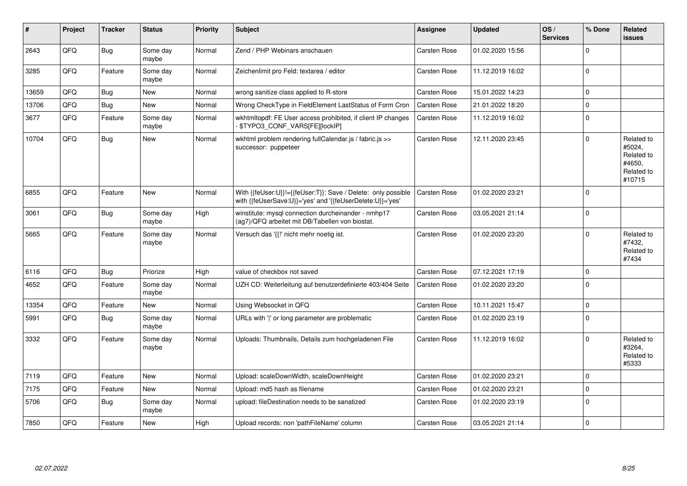| #     | Project | <b>Tracker</b> | <b>Status</b>     | <b>Priority</b> | <b>Subject</b>                                                                                                             | <b>Assignee</b>     | <b>Updated</b>   | OS/<br><b>Services</b> | % Done      | <b>Related</b><br><b>issues</b>                                      |
|-------|---------|----------------|-------------------|-----------------|----------------------------------------------------------------------------------------------------------------------------|---------------------|------------------|------------------------|-------------|----------------------------------------------------------------------|
| 2643  | QFQ     | Bug            | Some day<br>maybe | Normal          | Zend / PHP Webinars anschauen                                                                                              | <b>Carsten Rose</b> | 01.02.2020 15:56 |                        | $\Omega$    |                                                                      |
| 3285  | QFQ     | Feature        | Some day<br>maybe | Normal          | Zeichenlimit pro Feld: textarea / editor                                                                                   | <b>Carsten Rose</b> | 11.12.2019 16:02 |                        | $\Omega$    |                                                                      |
| 13659 | QFQ     | Bug            | <b>New</b>        | Normal          | wrong sanitize class applied to R-store                                                                                    | <b>Carsten Rose</b> | 15.01.2022 14:23 |                        | $\mathbf 0$ |                                                                      |
| 13706 | QFQ     | Bug            | <b>New</b>        | Normal          | Wrong CheckType in FieldElement LastStatus of Form Cron                                                                    | <b>Carsten Rose</b> | 21.01.2022 18:20 |                        | $\mathbf 0$ |                                                                      |
| 3677  | QFQ     | Feature        | Some day<br>maybe | Normal          | wkhtmltopdf: FE User access prohibited, if client IP changes<br>\$TYPO3_CONF_VARS[FE][lockIP]                              | <b>Carsten Rose</b> | 11.12.2019 16:02 |                        | $\Omega$    |                                                                      |
| 10704 | QFQ     | <b>Bug</b>     | New               | Normal          | wkhtml problem rendering fullCalendar.js / fabric.js >><br>successor: puppeteer                                            | Carsten Rose        | 12.11.2020 23:45 |                        | $\Omega$    | Related to<br>#5024,<br>Related to<br>#4650,<br>Related to<br>#10715 |
| 6855  | QFQ     | Feature        | <b>New</b>        | Normal          | With {{feUser:U}}!={{feUser:T}}: Save / Delete: only possible<br>with {{feUserSave:U}}='yes' and '{{feUserDelete:U}}='yes' | <b>Carsten Rose</b> | 01.02.2020 23:21 |                        | $\Omega$    |                                                                      |
| 3061  | QFQ     | Bug            | Some day<br>maybe | High            | winstitute: mysql connection durcheinander - nmhp17<br>(ag7)/QFQ arbeitet mit DB/Tabellen von biostat.                     | <b>Carsten Rose</b> | 03.05.2021 21:14 |                        | $\Omega$    |                                                                      |
| 5665  | QFQ     | Feature        | Some day<br>maybe | Normal          | Versuch das '{{!' nicht mehr noetig ist.                                                                                   | <b>Carsten Rose</b> | 01.02.2020 23:20 |                        | $\Omega$    | Related to<br>#7432,<br>Related to<br>#7434                          |
| 6116  | QFQ     | Bug            | Priorize          | High            | value of checkbox not saved                                                                                                | <b>Carsten Rose</b> | 07.12.2021 17:19 |                        | $\Omega$    |                                                                      |
| 4652  | QFQ     | Feature        | Some day<br>maybe | Normal          | UZH CD: Weiterleitung auf benutzerdefinierte 403/404 Seite                                                                 | <b>Carsten Rose</b> | 01.02.2020 23:20 |                        | $\Omega$    |                                                                      |
| 13354 | QFQ     | Feature        | New               | Normal          | Using Websocket in QFQ                                                                                                     | <b>Carsten Rose</b> | 10.11.2021 15:47 |                        | $\mathbf 0$ |                                                                      |
| 5991  | QFQ     | Bug            | Some day<br>maybe | Normal          | URLs with ' ' or long parameter are problematic                                                                            | <b>Carsten Rose</b> | 01.02.2020 23:19 |                        | $\Omega$    |                                                                      |
| 3332  | QFQ     | Feature        | Some day<br>maybe | Normal          | Uploads: Thumbnails, Details zum hochgeladenen File                                                                        | <b>Carsten Rose</b> | 11.12.2019 16:02 |                        | $\Omega$    | Related to<br>#3264,<br>Related to<br>#5333                          |
| 7119  | QFQ     | Feature        | <b>New</b>        | Normal          | Upload: scaleDownWidth, scaleDownHeight                                                                                    | Carsten Rose        | 01.02.2020 23:21 |                        | $\Omega$    |                                                                      |
| 7175  | QFQ     | Feature        | <b>New</b>        | Normal          | Upload: md5 hash as filename                                                                                               | <b>Carsten Rose</b> | 01.02.2020 23:21 |                        | $\mathbf 0$ |                                                                      |
| 5706  | QFQ     | Bug            | Some day<br>maybe | Normal          | upload: fileDestination needs to be sanatized                                                                              | <b>Carsten Rose</b> | 01.02.2020 23:19 |                        | $\mathbf 0$ |                                                                      |
| 7850  | QFQ     | Feature        | New               | High            | Upload records: non 'pathFileName' column                                                                                  | <b>Carsten Rose</b> | 03.05.2021 21:14 |                        | $\mathbf 0$ |                                                                      |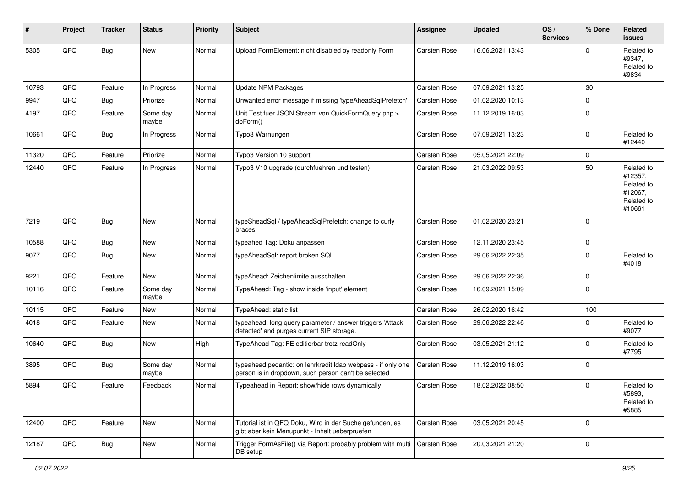| ∦     | Project | <b>Tracker</b> | <b>Status</b>     | <b>Priority</b> | <b>Subject</b>                                                                                                       | <b>Assignee</b>     | <b>Updated</b>   | OS/<br><b>Services</b> | % Done      | Related<br>issues                                                      |
|-------|---------|----------------|-------------------|-----------------|----------------------------------------------------------------------------------------------------------------------|---------------------|------------------|------------------------|-------------|------------------------------------------------------------------------|
| 5305  | QFQ     | <b>Bug</b>     | New               | Normal          | Upload FormElement: nicht disabled by readonly Form                                                                  | <b>Carsten Rose</b> | 16.06.2021 13:43 |                        | $\Omega$    | Related to<br>#9347,<br>Related to<br>#9834                            |
| 10793 | QFQ     | Feature        | In Progress       | Normal          | <b>Update NPM Packages</b>                                                                                           | <b>Carsten Rose</b> | 07.09.2021 13:25 |                        | 30          |                                                                        |
| 9947  | QFQ     | Bug            | Priorize          | Normal          | Unwanted error message if missing 'typeAheadSqlPrefetch'                                                             | <b>Carsten Rose</b> | 01.02.2020 10:13 |                        | $\mathbf 0$ |                                                                        |
| 4197  | QFQ     | Feature        | Some day<br>maybe | Normal          | Unit Test fuer JSON Stream von QuickFormQuery.php ><br>doForm()                                                      | <b>Carsten Rose</b> | 11.12.2019 16:03 |                        | $\Omega$    |                                                                        |
| 10661 | QFQ     | Bug            | In Progress       | Normal          | Typo3 Warnungen                                                                                                      | <b>Carsten Rose</b> | 07.09.2021 13:23 |                        | $\mathbf 0$ | Related to<br>#12440                                                   |
| 11320 | QFQ     | Feature        | Priorize          | Normal          | Typo3 Version 10 support                                                                                             | <b>Carsten Rose</b> | 05.05.2021 22:09 |                        | $\mathbf 0$ |                                                                        |
| 12440 | QFQ     | Feature        | In Progress       | Normal          | Typo3 V10 upgrade (durchfuehren und testen)                                                                          | <b>Carsten Rose</b> | 21.03.2022 09:53 |                        | 50          | Related to<br>#12357,<br>Related to<br>#12067,<br>Related to<br>#10661 |
| 7219  | QFQ     | Bug            | New               | Normal          | typeSheadSql / typeAheadSqlPrefetch: change to curly<br>braces                                                       | <b>Carsten Rose</b> | 01.02.2020 23:21 |                        | $\Omega$    |                                                                        |
| 10588 | QFQ     | <b>Bug</b>     | New               | Normal          | typeahed Tag: Doku anpassen                                                                                          | Carsten Rose        | 12.11.2020 23:45 |                        | $\mathbf 0$ |                                                                        |
| 9077  | QFQ     | <b>Bug</b>     | New               | Normal          | typeAheadSql: report broken SQL                                                                                      | <b>Carsten Rose</b> | 29.06.2022 22:35 |                        | $\Omega$    | Related to<br>#4018                                                    |
| 9221  | QFQ     | Feature        | New               | Normal          | typeAhead: Zeichenlimite ausschalten                                                                                 | Carsten Rose        | 29.06.2022 22:36 |                        | $\mathbf 0$ |                                                                        |
| 10116 | QFQ     | Feature        | Some day<br>maybe | Normal          | TypeAhead: Tag - show inside 'input' element                                                                         | <b>Carsten Rose</b> | 16.09.2021 15:09 |                        | $\mathbf 0$ |                                                                        |
| 10115 | QFQ     | Feature        | New               | Normal          | TypeAhead: static list                                                                                               | <b>Carsten Rose</b> | 26.02.2020 16:42 |                        | 100         |                                                                        |
| 4018  | QFQ     | Feature        | New               | Normal          | typeahead: long query parameter / answer triggers 'Attack<br>detected' and purges current SIP storage.               | Carsten Rose        | 29.06.2022 22:46 |                        | $\Omega$    | Related to<br>#9077                                                    |
| 10640 | QFQ     | Bug            | New               | High            | TypeAhead Tag: FE editierbar trotz readOnly                                                                          | <b>Carsten Rose</b> | 03.05.2021 21:12 |                        | $\Omega$    | Related to<br>#7795                                                    |
| 3895  | QFQ     | Bug            | Some day<br>maybe | Normal          | typeahead pedantic: on lehrkredit Idap webpass - if only one<br>person is in dropdown, such person can't be selected | <b>Carsten Rose</b> | 11.12.2019 16:03 |                        | 0           |                                                                        |
| 5894  | QFQ     | Feature        | Feedback          | Normal          | Typeahead in Report: show/hide rows dynamically                                                                      | <b>Carsten Rose</b> | 18.02.2022 08:50 |                        | $\Omega$    | Related to<br>#5893,<br>Related to<br>#5885                            |
| 12400 | QFQ     | Feature        | <b>New</b>        | Normal          | Tutorial ist in QFQ Doku, Wird in der Suche gefunden, es<br>gibt aber kein Menupunkt - Inhalt ueberpruefen           | <b>Carsten Rose</b> | 03.05.2021 20:45 |                        | 0           |                                                                        |
| 12187 | QFQ     | Bug            | New               | Normal          | Trigger FormAsFile() via Report: probably problem with multi<br>DB setup                                             | Carsten Rose        | 20.03.2021 21:20 |                        | $\mathbf 0$ |                                                                        |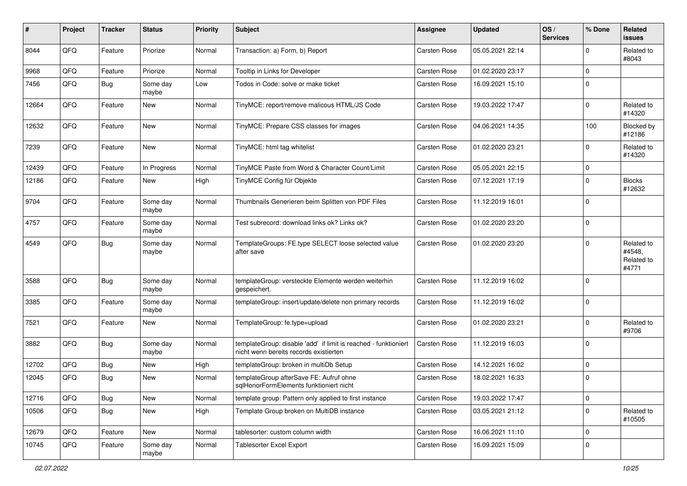| #     | Project | <b>Tracker</b> | <b>Status</b>     | <b>Priority</b> | <b>Subject</b>                                                                                            | <b>Assignee</b>     | <b>Updated</b>   | OS/<br><b>Services</b> | % Done      | Related<br><b>issues</b>                    |
|-------|---------|----------------|-------------------|-----------------|-----------------------------------------------------------------------------------------------------------|---------------------|------------------|------------------------|-------------|---------------------------------------------|
| 8044  | QFQ     | Feature        | Priorize          | Normal          | Transaction: a) Form, b) Report                                                                           | <b>Carsten Rose</b> | 05.05.2021 22:14 |                        | $\Omega$    | Related to<br>#8043                         |
| 9968  | QFQ     | Feature        | Priorize          | Normal          | Tooltip in Links for Developer                                                                            | <b>Carsten Rose</b> | 01.02.2020 23:17 |                        | $\mathbf 0$ |                                             |
| 7456  | QFQ     | <b>Bug</b>     | Some day<br>maybe | Low             | Todos in Code: solve or make ticket                                                                       | <b>Carsten Rose</b> | 16.09.2021 15:10 |                        | $\Omega$    |                                             |
| 12664 | QFQ     | Feature        | New               | Normal          | TinyMCE: report/remove malicous HTML/JS Code                                                              | <b>Carsten Rose</b> | 19.03.2022 17:47 |                        | $\Omega$    | Related to<br>#14320                        |
| 12632 | QFQ     | Feature        | New               | Normal          | TinyMCE: Prepare CSS classes for images                                                                   | <b>Carsten Rose</b> | 04.06.2021 14:35 |                        | 100         | Blocked by<br>#12186                        |
| 7239  | QFQ     | Feature        | New               | Normal          | TinyMCE: html tag whitelist                                                                               | Carsten Rose        | 01.02.2020 23:21 |                        | $\Omega$    | Related to<br>#14320                        |
| 12439 | QFQ     | Feature        | In Progress       | Normal          | TinyMCE Paste from Word & Character Count/Limit                                                           | <b>Carsten Rose</b> | 05.05.2021 22:15 |                        | $\mathbf 0$ |                                             |
| 12186 | QFQ     | Feature        | New               | High            | TinyMCE Config für Objekte                                                                                | <b>Carsten Rose</b> | 07.12.2021 17:19 |                        | $\Omega$    | <b>Blocks</b><br>#12632                     |
| 9704  | QFQ     | Feature        | Some day<br>maybe | Normal          | Thumbnails Generieren beim Splitten von PDF Files                                                         | <b>Carsten Rose</b> | 11.12.2019 16:01 |                        | $\Omega$    |                                             |
| 4757  | QFQ     | Feature        | Some day<br>maybe | Normal          | Test subrecord: download links ok? Links ok?                                                              | <b>Carsten Rose</b> | 01.02.2020 23:20 |                        | $\mathbf 0$ |                                             |
| 4549  | QFQ     | Bug            | Some day<br>maybe | Normal          | TemplateGroups: FE.type SELECT loose selected value<br>after save                                         | Carsten Rose        | 01.02.2020 23:20 |                        | $\Omega$    | Related to<br>#4548,<br>Related to<br>#4771 |
| 3588  | QFQ     | Bug            | Some day<br>maybe | Normal          | templateGroup: versteckte Elemente werden weiterhin<br>gespeichert.                                       | <b>Carsten Rose</b> | 11.12.2019 16:02 |                        | $\Omega$    |                                             |
| 3385  | QFQ     | Feature        | Some day<br>maybe | Normal          | templateGroup: insert/update/delete non primary records                                                   | <b>Carsten Rose</b> | 11.12.2019 16:02 |                        | $\Omega$    |                                             |
| 7521  | QFQ     | Feature        | New               | Normal          | TemplateGroup: fe.type=upload                                                                             | <b>Carsten Rose</b> | 01.02.2020 23:21 |                        | $\Omega$    | Related to<br>#9706                         |
| 3882  | QFQ     | Bug            | Some day<br>maybe | Normal          | templateGroup: disable 'add' if limit is reached - funktioniert<br>nicht wenn bereits records existierten | <b>Carsten Rose</b> | 11.12.2019 16:03 |                        | $\Omega$    |                                             |
| 12702 | QFQ     | Bug            | New               | High            | templateGroup: broken in multiDb Setup                                                                    | <b>Carsten Rose</b> | 14.12.2021 16:02 |                        | $\mathbf 0$ |                                             |
| 12045 | QFQ     | Bug            | New               | Normal          | templateGroup afterSave FE: Aufruf ohne<br>sqlHonorFormElements funktioniert nicht                        | <b>Carsten Rose</b> | 18.02.2021 16:33 |                        | $\mathbf 0$ |                                             |
| 12716 | QFQ     | Bug            | New               | Normal          | template group: Pattern only applied to first instance                                                    | Carsten Rose        | 19.03.2022 17:47 |                        | $\mathbf 0$ |                                             |
| 10506 | QFQ     | <b>Bug</b>     | New               | High            | Template Group broken on MultiDB instance                                                                 | Carsten Rose        | 03.05.2021 21:12 |                        | $\mathbf 0$ | Related to<br>#10505                        |
| 12679 | QFQ     | Feature        | New               | Normal          | tablesorter: custom column width                                                                          | Carsten Rose        | 16.06.2021 11:10 |                        | $\mathbf 0$ |                                             |
| 10745 | QFQ     | Feature        | Some day<br>maybe | Normal          | <b>Tablesorter Excel Export</b>                                                                           | Carsten Rose        | 16.09.2021 15:09 |                        | $\mathbf 0$ |                                             |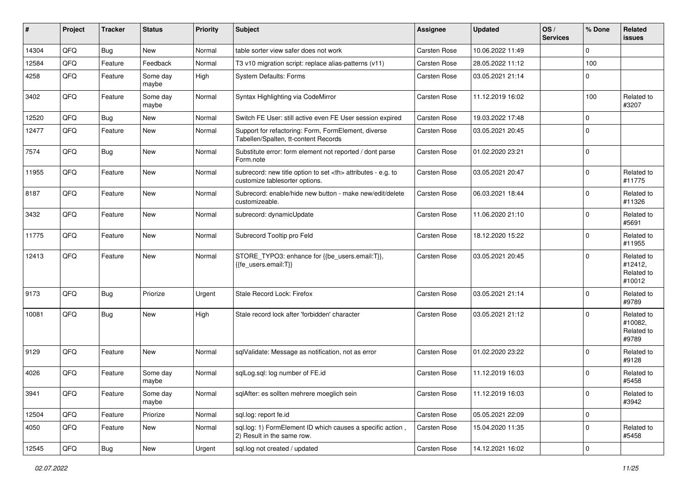| #     | Project | <b>Tracker</b> | <b>Status</b>     | <b>Priority</b> | <b>Subject</b>                                                                                       | <b>Assignee</b>                                        | <b>Updated</b>      | OS/<br><b>Services</b> | % Done      | Related<br><b>issues</b>                      |                      |
|-------|---------|----------------|-------------------|-----------------|------------------------------------------------------------------------------------------------------|--------------------------------------------------------|---------------------|------------------------|-------------|-----------------------------------------------|----------------------|
| 14304 | QFQ     | Bug            | New               | Normal          | table sorter view safer does not work                                                                | Carsten Rose                                           | 10.06.2022 11:49    |                        | $\Omega$    |                                               |                      |
| 12584 | QFQ     | Feature        | Feedback          | Normal          | T3 v10 migration script: replace alias-patterns (v11)                                                | <b>Carsten Rose</b>                                    | 28.05.2022 11:12    |                        | 100         |                                               |                      |
| 4258  | QFQ     | Feature        | Some day<br>maybe | High            | <b>System Defaults: Forms</b>                                                                        | <b>Carsten Rose</b>                                    | 03.05.2021 21:14    |                        | $\Omega$    |                                               |                      |
| 3402  | QFQ     | Feature        | Some day<br>maybe | Normal          | Syntax Highlighting via CodeMirror                                                                   | <b>Carsten Rose</b>                                    | 11.12.2019 16:02    |                        | 100         | Related to<br>#3207                           |                      |
| 12520 | QFQ     | Bug            | <b>New</b>        | Normal          | Switch FE User: still active even FE User session expired                                            | <b>Carsten Rose</b>                                    | 19.03.2022 17:48    |                        | $\mathbf 0$ |                                               |                      |
| 12477 | QFQ     | Feature        | New               | Normal          | Support for refactoring: Form, FormElement, diverse<br>Tabellen/Spalten, tt-content Records          | Carsten Rose                                           | 03.05.2021 20:45    |                        | $\Omega$    |                                               |                      |
| 7574  | QFQ     | Bug            | New               | Normal          | Substitute error: form element not reported / dont parse<br>Form.note                                | <b>Carsten Rose</b>                                    | 01.02.2020 23:21    |                        | $\mathbf 0$ |                                               |                      |
| 11955 | QFQ     | Feature        | New               | Normal          | subrecord: new title option to set <th> attributes - e.g. to<br/>customize tablesorter options.</th> | attributes - e.g. to<br>customize tablesorter options. | <b>Carsten Rose</b> | 03.05.2021 20:47       |             | $\mathbf 0$                                   | Related to<br>#11775 |
| 8187  | QFQ     | Feature        | New               | Normal          | Subrecord: enable/hide new button - make new/edit/delete<br>customizeable.                           | <b>Carsten Rose</b>                                    | 06.03.2021 18:44    |                        | $\Omega$    | Related to<br>#11326                          |                      |
| 3432  | QFQ     | Feature        | New               | Normal          | subrecord: dynamicUpdate                                                                             | <b>Carsten Rose</b>                                    | 11.06.2020 21:10    |                        | $\Omega$    | Related to<br>#5691                           |                      |
| 11775 | QFQ     | Feature        | New               | Normal          | Subrecord Tooltip pro Feld                                                                           | <b>Carsten Rose</b>                                    | 18.12.2020 15:22    |                        | $\mathbf 0$ | Related to<br>#11955                          |                      |
| 12413 | QFQ     | Feature        | New               | Normal          | STORE_TYPO3: enhance for {{be_users.email:T}},<br>{{fe users.email:T}}                               | <b>Carsten Rose</b>                                    | 03.05.2021 20:45    |                        | $\Omega$    | Related to<br>#12412,<br>Related to<br>#10012 |                      |
| 9173  | QFQ     | Bug            | Priorize          | Urgent          | Stale Record Lock: Firefox                                                                           | <b>Carsten Rose</b>                                    | 03.05.2021 21:14    |                        | $\mathbf 0$ | Related to<br>#9789                           |                      |
| 10081 | QFQ     | <b>Bug</b>     | New               | High            | Stale record lock after 'forbidden' character                                                        | <b>Carsten Rose</b>                                    | 03.05.2021 21:12    |                        | $\Omega$    | Related to<br>#10082,<br>Related to<br>#9789  |                      |
| 9129  | QFQ     | Feature        | New               | Normal          | sqlValidate: Message as notification, not as error                                                   | Carsten Rose                                           | 01.02.2020 23:22    |                        | $\Omega$    | Related to<br>#9128                           |                      |
| 4026  | QFQ     | Feature        | Some day<br>maybe | Normal          | sqlLog.sql: log number of FE.id                                                                      | <b>Carsten Rose</b>                                    | 11.12.2019 16:03    |                        | $\Omega$    | Related to<br>#5458                           |                      |
| 3941  | QFQ     | Feature        | Some day<br>maybe | Normal          | sqlAfter: es sollten mehrere moeglich sein                                                           | Carsten Rose                                           | 11.12.2019 16:03    |                        | 0           | Related to<br>#3942                           |                      |
| 12504 | QFQ     | Feature        | Priorize          | Normal          | sql.log: report fe.id                                                                                | Carsten Rose                                           | 05.05.2021 22:09    |                        | $\mathbf 0$ |                                               |                      |
| 4050  | QFQ     | Feature        | New               | Normal          | sql.log: 1) FormElement ID which causes a specific action,<br>2) Result in the same row.             | Carsten Rose                                           | 15.04.2020 11:35    |                        | $\mathbf 0$ | Related to<br>#5458                           |                      |
| 12545 | QFG     | Bug            | New               | Urgent          | sql.log not created / updated                                                                        | Carsten Rose                                           | 14.12.2021 16:02    |                        | $\pmb{0}$   |                                               |                      |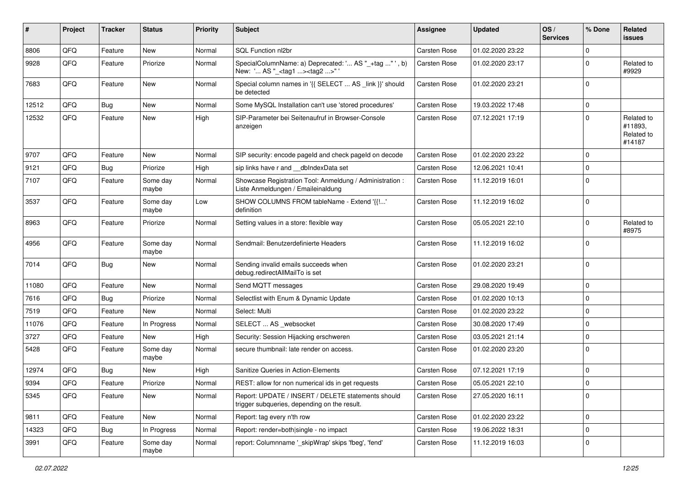| #     | Project | <b>Tracker</b> | <b>Status</b>     | <b>Priority</b> | <b>Subject</b>                                                                                     | <b>Assignee</b>     | <b>Updated</b>   | OS/<br><b>Services</b> | % Done         | Related<br>issues                             |
|-------|---------|----------------|-------------------|-----------------|----------------------------------------------------------------------------------------------------|---------------------|------------------|------------------------|----------------|-----------------------------------------------|
| 8806  | QFQ     | Feature        | New               | Normal          | SQL Function nl2br                                                                                 | Carsten Rose        | 01.02.2020 23:22 |                        | $\Omega$       |                                               |
| 9928  | QFQ     | Feature        | Priorize          | Normal          | SpecialColumnName: a) Deprecated: ' AS "_+tag " ', b)<br>New: ' AS "_ <tag1><tag2>"'</tag2></tag1> | <b>Carsten Rose</b> | 01.02.2020 23:17 |                        | $\Omega$       | Related to<br>#9929                           |
| 7683  | QFQ     | Feature        | New               | Normal          | Special column names in '{{ SELECT  AS _link }}' should<br>be detected                             | <b>Carsten Rose</b> | 01.02.2020 23:21 |                        | $\Omega$       |                                               |
| 12512 | QFQ     | Bug            | <b>New</b>        | Normal          | Some MySQL Installation can't use 'stored procedures'                                              | <b>Carsten Rose</b> | 19.03.2022 17:48 |                        | $\overline{0}$ |                                               |
| 12532 | QFQ     | Feature        | <b>New</b>        | High            | SIP-Parameter bei Seitenaufruf in Browser-Console<br>anzeigen                                      | <b>Carsten Rose</b> | 07.12.2021 17:19 |                        | $\Omega$       | Related to<br>#11893,<br>Related to<br>#14187 |
| 9707  | QFQ     | Feature        | <b>New</b>        | Normal          | SIP security: encode pageld and check pageld on decode                                             | <b>Carsten Rose</b> | 01.02.2020 23:22 |                        | $\Omega$       |                                               |
| 9121  | QFQ     | Bug            | Priorize          | High            | sip links have r and __dbIndexData set                                                             | <b>Carsten Rose</b> | 12.06.2021 10:41 |                        | $\mathbf 0$    |                                               |
| 7107  | QFQ     | Feature        | Some day<br>maybe | Normal          | Showcase Registration Tool: Anmeldung / Administration :<br>Liste Anmeldungen / Emaileinaldung     | <b>Carsten Rose</b> | 11.12.2019 16:01 |                        | $\Omega$       |                                               |
| 3537  | QFQ     | Feature        | Some day<br>maybe | Low             | SHOW COLUMNS FROM tableName - Extend '{{!'<br>definition                                           | <b>Carsten Rose</b> | 11.12.2019 16:02 |                        | $\overline{0}$ |                                               |
| 8963  | QFQ     | Feature        | Priorize          | Normal          | Setting values in a store: flexible way                                                            | <b>Carsten Rose</b> | 05.05.2021 22:10 |                        | $\Omega$       | Related to<br>#8975                           |
| 4956  | QFQ     | Feature        | Some day<br>maybe | Normal          | Sendmail: Benutzerdefinierte Headers                                                               | <b>Carsten Rose</b> | 11.12.2019 16:02 |                        | $\Omega$       |                                               |
| 7014  | QFQ     | <b>Bug</b>     | <b>New</b>        | Normal          | Sending invalid emails succeeds when<br>debug.redirectAllMailTo is set                             | <b>Carsten Rose</b> | 01.02.2020 23:21 |                        | $\overline{0}$ |                                               |
| 11080 | QFQ     | Feature        | <b>New</b>        | Normal          | Send MQTT messages                                                                                 | <b>Carsten Rose</b> | 29.08.2020 19:49 |                        | $\mathbf 0$    |                                               |
| 7616  | QFQ     | Bug            | Priorize          | Normal          | Selectlist with Enum & Dynamic Update                                                              | <b>Carsten Rose</b> | 01.02.2020 10:13 |                        | $\mathbf 0$    |                                               |
| 7519  | QFQ     | Feature        | New               | Normal          | Select: Multi                                                                                      | Carsten Rose        | 01.02.2020 23:22 |                        | $\overline{0}$ |                                               |
| 11076 | QFQ     | Feature        | In Progress       | Normal          | SELECT  AS _websocket                                                                              | <b>Carsten Rose</b> | 30.08.2020 17:49 |                        | $\mathbf 0$    |                                               |
| 3727  | QFQ     | Feature        | New               | High            | Security: Session Hijacking erschweren                                                             | <b>Carsten Rose</b> | 03.05.2021 21:14 |                        | $\mathbf 0$    |                                               |
| 5428  | QFQ     | Feature        | Some day<br>maybe | Normal          | secure thumbnail: late render on access.                                                           | <b>Carsten Rose</b> | 01.02.2020 23:20 |                        | $\Omega$       |                                               |
| 12974 | QFQ     | Bug            | <b>New</b>        | High            | Sanitize Queries in Action-Elements                                                                | <b>Carsten Rose</b> | 07.12.2021 17:19 |                        | $\mathbf 0$    |                                               |
| 9394  | QFQ     | Feature        | Priorize          | Normal          | REST: allow for non numerical ids in get requests                                                  | Carsten Rose        | 05.05.2021 22:10 |                        | $\overline{0}$ |                                               |
| 5345  | QFQ     | Feature        | New               | Normal          | Report: UPDATE / INSERT / DELETE statements should<br>trigger subqueries, depending on the result. | Carsten Rose        | 27.05.2020 16:11 |                        | $\overline{0}$ |                                               |
| 9811  | QFQ     | Feature        | New               | Normal          | Report: tag every n'th row                                                                         | Carsten Rose        | 01.02.2020 23:22 |                        | $\mathbf 0$    |                                               |
| 14323 | QFQ     | <b>Bug</b>     | In Progress       | Normal          | Report: render=both single - no impact                                                             | Carsten Rose        | 19.06.2022 18:31 |                        | $\mathbf 0$    |                                               |
| 3991  | QFQ     | Feature        | Some day<br>maybe | Normal          | report: Columnname '_skipWrap' skips 'fbeg', 'fend'                                                | Carsten Rose        | 11.12.2019 16:03 |                        | 0              |                                               |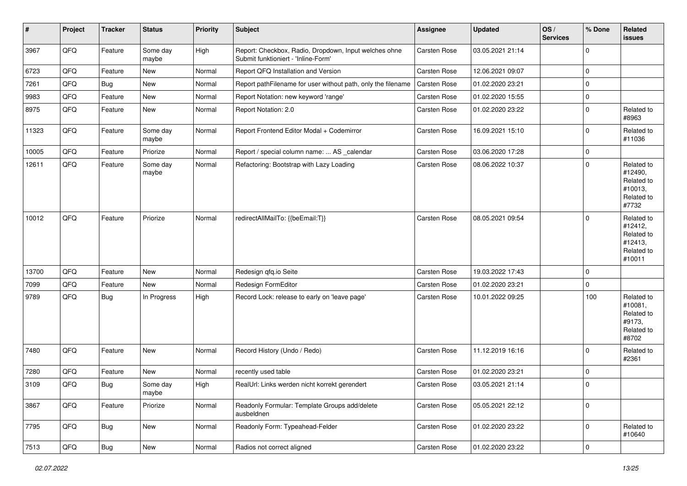| #     | Project        | <b>Tracker</b> | <b>Status</b>     | <b>Priority</b> | <b>Subject</b>                                                                               | <b>Assignee</b>     | <b>Updated</b>   | OS/<br><b>Services</b> | % Done      | Related<br><b>issues</b>                                               |
|-------|----------------|----------------|-------------------|-----------------|----------------------------------------------------------------------------------------------|---------------------|------------------|------------------------|-------------|------------------------------------------------------------------------|
| 3967  | QFQ            | Feature        | Some day<br>maybe | High            | Report: Checkbox, Radio, Dropdown, Input welches ohne<br>Submit funktioniert - 'Inline-Form' | Carsten Rose        | 03.05.2021 21:14 |                        | $\mathbf 0$ |                                                                        |
| 6723  | QFQ            | Feature        | New               | Normal          | Report QFQ Installation and Version                                                          | Carsten Rose        | 12.06.2021 09:07 |                        | $\mathbf 0$ |                                                                        |
| 7261  | QFQ            | Bug            | New               | Normal          | Report pathFilename for user without path, only the filename                                 | Carsten Rose        | 01.02.2020 23:21 |                        | $\mathbf 0$ |                                                                        |
| 9983  | QFQ            | Feature        | New               | Normal          | Report Notation: new keyword 'range'                                                         | <b>Carsten Rose</b> | 01.02.2020 15:55 |                        | $\mathbf 0$ |                                                                        |
| 8975  | QFQ            | Feature        | New               | Normal          | Report Notation: 2.0                                                                         | <b>Carsten Rose</b> | 01.02.2020 23:22 |                        | $\Omega$    | Related to<br>#8963                                                    |
| 11323 | QFQ            | Feature        | Some day<br>maybe | Normal          | Report Frontend Editor Modal + Codemirror                                                    | Carsten Rose        | 16.09.2021 15:10 |                        | $\Omega$    | Related to<br>#11036                                                   |
| 10005 | QFQ            | Feature        | Priorize          | Normal          | Report / special column name:  AS _calendar                                                  | Carsten Rose        | 03.06.2020 17:28 |                        | $\mathbf 0$ |                                                                        |
| 12611 | QFQ            | Feature        | Some day<br>maybe | Normal          | Refactoring: Bootstrap with Lazy Loading                                                     | Carsten Rose        | 08.06.2022 10:37 |                        | $\mathbf 0$ | Related to<br>#12490,<br>Related to<br>#10013,<br>Related to<br>#7732  |
| 10012 | QFQ            | Feature        | Priorize          | Normal          | redirectAllMailTo: {{beEmail:T}}                                                             | Carsten Rose        | 08.05.2021 09:54 |                        | $\mathbf 0$ | Related to<br>#12412,<br>Related to<br>#12413,<br>Related to<br>#10011 |
| 13700 | QFQ            | Feature        | <b>New</b>        | Normal          | Redesign qfq.io Seite                                                                        | Carsten Rose        | 19.03.2022 17:43 |                        | $\mathbf 0$ |                                                                        |
| 7099  | QFQ            | Feature        | New               | Normal          | Redesign FormEditor                                                                          | Carsten Rose        | 01.02.2020 23:21 |                        | $\mathbf 0$ |                                                                        |
| 9789  | QFQ            | Bug            | In Progress       | High            | Record Lock: release to early on 'leave page'                                                | Carsten Rose        | 10.01.2022 09:25 |                        | 100         | Related to<br>#10081,<br>Related to<br>#9173,<br>Related to<br>#8702   |
| 7480  | QFQ            | Feature        | New               | Normal          | Record History (Undo / Redo)                                                                 | Carsten Rose        | 11.12.2019 16:16 |                        | $\Omega$    | Related to<br>#2361                                                    |
| 7280  | QFQ            | Feature        | New               | Normal          | recently used table                                                                          | Carsten Rose        | 01.02.2020 23:21 |                        | $\mathbf 0$ |                                                                        |
| 3109  | QFQ            | Bug            | Some day<br>maybe | High            | RealUrl: Links werden nicht korrekt gerendert                                                | <b>Carsten Rose</b> | 03.05.2021 21:14 |                        | $\mathbf 0$ |                                                                        |
| 3867  | QFO            | Feature        | Priorize          | Normal          | Readonly Formular: Template Groups add/delete<br>ausbeldnen                                  | Carsten Rose        | 05.05.2021 22:12 |                        | $\mathbf 0$ |                                                                        |
| 7795  | QFG            | <b>Bug</b>     | New               | Normal          | Readonly Form: Typeahead-Felder                                                              | Carsten Rose        | 01.02.2020 23:22 |                        | $\mathbf 0$ | Related to<br>#10640                                                   |
| 7513  | $\mathsf{QFQ}$ | Bug            | New               | Normal          | Radios not correct aligned                                                                   | Carsten Rose        | 01.02.2020 23:22 |                        | $\pmb{0}$   |                                                                        |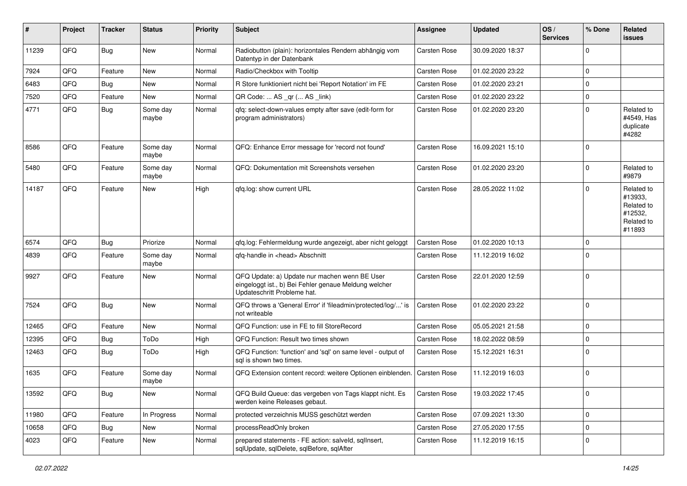| #     | Project | <b>Tracker</b> | <b>Status</b>     | <b>Priority</b> | <b>Subject</b>                                                                                                                        | Assignee            | <b>Updated</b>   | OS/<br><b>Services</b> | % Done         | Related<br><b>issues</b>                                               |
|-------|---------|----------------|-------------------|-----------------|---------------------------------------------------------------------------------------------------------------------------------------|---------------------|------------------|------------------------|----------------|------------------------------------------------------------------------|
| 11239 | QFQ     | <b>Bug</b>     | New               | Normal          | Radiobutton (plain): horizontales Rendern abhängig vom<br>Datentyp in der Datenbank                                                   | Carsten Rose        | 30.09.2020 18:37 |                        | $\Omega$       |                                                                        |
| 7924  | QFQ     | Feature        | New               | Normal          | Radio/Checkbox with Tooltip                                                                                                           | Carsten Rose        | 01.02.2020 23:22 |                        | $\mathbf 0$    |                                                                        |
| 6483  | QFQ     | <b>Bug</b>     | <b>New</b>        | Normal          | R Store funktioniert nicht bei 'Report Notation' im FE                                                                                | Carsten Rose        | 01.02.2020 23:21 |                        | $\Omega$       |                                                                        |
| 7520  | QFQ     | Feature        | New               | Normal          | QR Code:  AS _qr ( AS _link)                                                                                                          | <b>Carsten Rose</b> | 01.02.2020 23:22 |                        | $\Omega$       |                                                                        |
| 4771  | QFQ     | Bug            | Some day<br>maybe | Normal          | qfq: select-down-values empty after save (edit-form for<br>program administrators)                                                    | <b>Carsten Rose</b> | 01.02.2020 23:20 |                        | $\Omega$       | Related to<br>#4549, Has<br>duplicate<br>#4282                         |
| 8586  | QFQ     | Feature        | Some day<br>maybe | Normal          | QFQ: Enhance Error message for 'record not found'                                                                                     | Carsten Rose        | 16.09.2021 15:10 |                        | $\mathbf 0$    |                                                                        |
| 5480  | QFQ     | Feature        | Some day<br>maybe | Normal          | QFQ: Dokumentation mit Screenshots versehen                                                                                           | Carsten Rose        | 01.02.2020 23:20 |                        | $\mathbf 0$    | Related to<br>#9879                                                    |
| 14187 | QFQ     | Feature        | New               | High            | qfq.log: show current URL                                                                                                             | <b>Carsten Rose</b> | 28.05.2022 11:02 |                        | $\mathbf 0$    | Related to<br>#13933,<br>Related to<br>#12532,<br>Related to<br>#11893 |
| 6574  | QFQ     | <b>Bug</b>     | Priorize          | Normal          | qfq.log: Fehlermeldung wurde angezeigt, aber nicht geloggt                                                                            | Carsten Rose        | 01.02.2020 10:13 |                        | $\Omega$       |                                                                        |
| 4839  | QFQ     | Feature        | Some day<br>maybe | Normal          | qfq-handle in <head> Abschnitt</head>                                                                                                 | Carsten Rose        | 11.12.2019 16:02 |                        | $\Omega$       |                                                                        |
| 9927  | QFQ     | Feature        | New               | Normal          | QFQ Update: a) Update nur machen wenn BE User<br>eingeloggt ist., b) Bei Fehler genaue Meldung welcher<br>Updateschritt Probleme hat. | Carsten Rose        | 22.01.2020 12:59 |                        | $\mathbf 0$    |                                                                        |
| 7524  | QFQ     | Bug            | New               | Normal          | QFQ throws a 'General Error' if 'fileadmin/protected/log/' is<br>not writeable                                                        | Carsten Rose        | 01.02.2020 23:22 |                        | $\mathbf 0$    |                                                                        |
| 12465 | QFQ     | Feature        | New               | Normal          | QFQ Function: use in FE to fill StoreRecord                                                                                           | Carsten Rose        | 05.05.2021 21:58 |                        | $\Omega$       |                                                                        |
| 12395 | QFQ     | Bug            | ToDo              | High            | QFQ Function: Result two times shown                                                                                                  | Carsten Rose        | 18.02.2022 08:59 |                        | $\Omega$       |                                                                        |
| 12463 | QFQ     | Bug            | ToDo              | High            | QFQ Function: 'function' and 'sql' on same level - output of<br>sal is shown two times.                                               | <b>Carsten Rose</b> | 15.12.2021 16:31 |                        | $\Omega$       |                                                                        |
| 1635  | QFQ     | Feature        | Some day<br>maybe | Normal          | QFQ Extension content record: weitere Optionen einblenden.                                                                            | <b>Carsten Rose</b> | 11.12.2019 16:03 |                        | $\mathbf 0$    |                                                                        |
| 13592 | QFQ     | <b>Bug</b>     | New               | Normal          | QFQ Build Queue: das vergeben von Tags klappt nicht. Es<br>werden keine Releases gebaut.                                              | <b>Carsten Rose</b> | 19.03.2022 17:45 |                        | $\overline{0}$ |                                                                        |
| 11980 | QFQ     | Feature        | In Progress       | Normal          | protected verzeichnis MUSS geschützt werden                                                                                           | Carsten Rose        | 07.09.2021 13:30 |                        | $\mathbf 0$    |                                                                        |
| 10658 | QFQ     | <b>Bug</b>     | New               | Normal          | processReadOnly broken                                                                                                                | Carsten Rose        | 27.05.2020 17:55 |                        | $\mathbf 0$    |                                                                        |
| 4023  | QFQ     | Feature        | New               | Normal          | prepared statements - FE action: salveld, sqllnsert,<br>sqlUpdate, sqlDelete, sqlBefore, sqlAfter                                     | Carsten Rose        | 11.12.2019 16:15 |                        | 0              |                                                                        |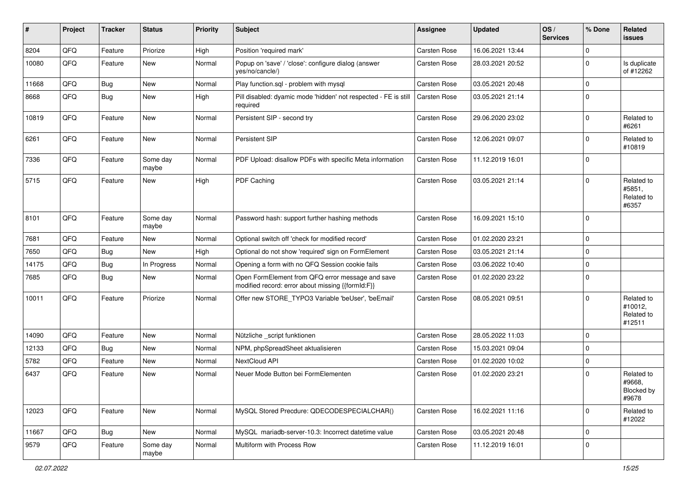| #     | Project | <b>Tracker</b> | <b>Status</b>     | <b>Priority</b> | <b>Subject</b>                                                                                        | <b>Assignee</b>     | <b>Updated</b>   | OS/<br><b>Services</b> | % Done      | Related<br><b>issues</b>                      |
|-------|---------|----------------|-------------------|-----------------|-------------------------------------------------------------------------------------------------------|---------------------|------------------|------------------------|-------------|-----------------------------------------------|
| 8204  | QFQ     | Feature        | Priorize          | High            | Position 'required mark'                                                                              | Carsten Rose        | 16.06.2021 13:44 |                        | $\mathbf 0$ |                                               |
| 10080 | QFQ     | Feature        | New               | Normal          | Popup on 'save' / 'close': configure dialog (answer<br>yes/no/cancle/)                                | <b>Carsten Rose</b> | 28.03.2021 20:52 |                        | $\Omega$    | Is duplicate<br>of #12262                     |
| 11668 | QFQ     | Bug            | New               | Normal          | Play function.sql - problem with mysql                                                                | <b>Carsten Rose</b> | 03.05.2021 20:48 |                        | $\mathbf 0$ |                                               |
| 8668  | QFQ     | Bug            | New               | High            | Pill disabled: dyamic mode 'hidden' not respected - FE is still<br>required                           | <b>Carsten Rose</b> | 03.05.2021 21:14 |                        | $\Omega$    |                                               |
| 10819 | QFQ     | Feature        | <b>New</b>        | Normal          | Persistent SIP - second try                                                                           | <b>Carsten Rose</b> | 29.06.2020 23:02 |                        | $\mathbf 0$ | Related to<br>#6261                           |
| 6261  | QFQ     | Feature        | <b>New</b>        | Normal          | Persistent SIP                                                                                        | <b>Carsten Rose</b> | 12.06.2021 09:07 |                        | $\Omega$    | Related to<br>#10819                          |
| 7336  | QFQ     | Feature        | Some day<br>maybe | Normal          | PDF Upload: disallow PDFs with specific Meta information                                              | <b>Carsten Rose</b> | 11.12.2019 16:01 |                        | $\Omega$    |                                               |
| 5715  | QFQ     | Feature        | <b>New</b>        | High            | PDF Caching                                                                                           | <b>Carsten Rose</b> | 03.05.2021 21:14 |                        | 0           | Related to<br>#5851,<br>Related to<br>#6357   |
| 8101  | QFQ     | Feature        | Some day<br>maybe | Normal          | Password hash: support further hashing methods                                                        | Carsten Rose        | 16.09.2021 15:10 |                        | $\mathbf 0$ |                                               |
| 7681  | QFQ     | Feature        | New               | Normal          | Optional switch off 'check for modified record'                                                       | <b>Carsten Rose</b> | 01.02.2020 23:21 |                        | $\Omega$    |                                               |
| 7650  | QFQ     | Bug            | <b>New</b>        | High            | Optional do not show 'required' sign on FormElement                                                   | Carsten Rose        | 03.05.2021 21:14 |                        | $\Omega$    |                                               |
| 14175 | QFQ     | Bug            | In Progress       | Normal          | Opening a form with no QFQ Session cookie fails                                                       | Carsten Rose        | 03.06.2022 10:40 |                        | 0           |                                               |
| 7685  | QFQ     | Bug            | New               | Normal          | Open FormElement from QFQ error message and save<br>modified record: error about missing {{formId:F}} | Carsten Rose        | 01.02.2020 23:22 |                        | $\Omega$    |                                               |
| 10011 | QFQ     | Feature        | Priorize          | Normal          | Offer new STORE_TYPO3 Variable 'beUser', 'beEmail'                                                    | <b>Carsten Rose</b> | 08.05.2021 09:51 |                        | $\Omega$    | Related to<br>#10012,<br>Related to<br>#12511 |
| 14090 | QFQ     | Feature        | <b>New</b>        | Normal          | Nützliche _script funktionen                                                                          | <b>Carsten Rose</b> | 28.05.2022 11:03 |                        | $\Omega$    |                                               |
| 12133 | QFQ     | Bug            | New               | Normal          | NPM, phpSpreadSheet aktualisieren                                                                     | <b>Carsten Rose</b> | 15.03.2021 09:04 |                        | 0           |                                               |
| 5782  | QFQ     | Feature        | New               | Normal          | NextCloud API                                                                                         | Carsten Rose        | 01.02.2020 10:02 |                        | $\mathbf 0$ |                                               |
| 6437  | QFQ     | Feature        | New               | Normal          | Neuer Mode Button bei FormElementen                                                                   | <b>Carsten Rose</b> | 01.02.2020 23:21 |                        | $\Omega$    | Related to<br>#9668,<br>Blocked by<br>#9678   |
| 12023 | QFQ     | Feature        | New               | Normal          | MySQL Stored Precdure: QDECODESPECIALCHAR()                                                           | Carsten Rose        | 16.02.2021 11:16 |                        | $\mathbf 0$ | Related to<br>#12022                          |
| 11667 | QFQ     | Bug            | New               | Normal          | MySQL mariadb-server-10.3: Incorrect datetime value                                                   | Carsten Rose        | 03.05.2021 20:48 |                        | $\mathbf 0$ |                                               |
| 9579  | QFQ     | Feature        | Some day<br>maybe | Normal          | Multiform with Process Row                                                                            | Carsten Rose        | 11.12.2019 16:01 |                        | 0           |                                               |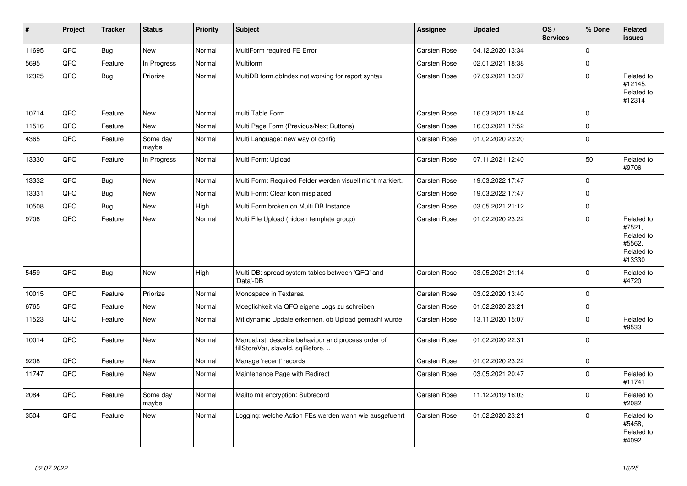| #     | <b>Project</b> | <b>Tracker</b> | <b>Status</b>     | <b>Priority</b> | <b>Subject</b>                                                                           | Assignee            | <b>Updated</b>   | OS/<br><b>Services</b> | % Done         | Related<br>issues                                                    |
|-------|----------------|----------------|-------------------|-----------------|------------------------------------------------------------------------------------------|---------------------|------------------|------------------------|----------------|----------------------------------------------------------------------|
| 11695 | QFQ            | <b>Bug</b>     | <b>New</b>        | Normal          | MultiForm required FE Error                                                              | <b>Carsten Rose</b> | 04.12.2020 13:34 |                        | $\Omega$       |                                                                      |
| 5695  | QFQ            | Feature        | In Progress       | Normal          | Multiform                                                                                | <b>Carsten Rose</b> | 02.01.2021 18:38 |                        | $\Omega$       |                                                                      |
| 12325 | QFO            | Bug            | Priorize          | Normal          | MultiDB form.dblndex not working for report syntax                                       | Carsten Rose        | 07.09.2021 13:37 |                        | $\Omega$       | Related to<br>#12145.<br>Related to<br>#12314                        |
| 10714 | QFQ            | Feature        | <b>New</b>        | Normal          | multi Table Form                                                                         | <b>Carsten Rose</b> | 16.03.2021 18:44 |                        | $\Omega$       |                                                                      |
| 11516 | QFQ            | Feature        | New               | Normal          | Multi Page Form (Previous/Next Buttons)                                                  | <b>Carsten Rose</b> | 16.03.2021 17:52 |                        | $\mathbf 0$    |                                                                      |
| 4365  | QFQ            | Feature        | Some day<br>maybe | Normal          | Multi Language: new way of config                                                        | Carsten Rose        | 01.02.2020 23:20 |                        | $\mathbf 0$    |                                                                      |
| 13330 | QFQ            | Feature        | In Progress       | Normal          | Multi Form: Upload                                                                       | <b>Carsten Rose</b> | 07.11.2021 12:40 |                        | 50             | Related to<br>#9706                                                  |
| 13332 | QFQ            | Bug            | <b>New</b>        | Normal          | Multi Form: Required Felder werden visuell nicht markiert.                               | <b>Carsten Rose</b> | 19.03.2022 17:47 |                        | $\Omega$       |                                                                      |
| 13331 | QFQ            | Bug            | New               | Normal          | Multi Form: Clear Icon misplaced                                                         | Carsten Rose        | 19.03.2022 17:47 |                        | $\Omega$       |                                                                      |
| 10508 | QFQ            | <b>Bug</b>     | New               | High            | Multi Form broken on Multi DB Instance                                                   | Carsten Rose        | 03.05.2021 21:12 |                        | $\mathbf 0$    |                                                                      |
| 9706  | QFQ            | Feature        | New               | Normal          | Multi File Upload (hidden template group)                                                | <b>Carsten Rose</b> | 01.02.2020 23:22 |                        | $\Omega$       | Related to<br>#7521,<br>Related to<br>#5562,<br>Related to<br>#13330 |
| 5459  | QFQ            | Bug            | <b>New</b>        | High            | Multi DB: spread system tables between 'QFQ' and<br>'Data'-DB                            | <b>Carsten Rose</b> | 03.05.2021 21:14 |                        | $\Omega$       | Related to<br>#4720                                                  |
| 10015 | QFQ            | Feature        | Priorize          | Normal          | Monospace in Textarea                                                                    | <b>Carsten Rose</b> | 03.02.2020 13:40 |                        | $\overline{0}$ |                                                                      |
| 6765  | QFQ            | Feature        | <b>New</b>        | Normal          | Moeglichkeit via QFQ eigene Logs zu schreiben                                            | <b>Carsten Rose</b> | 01.02.2020 23:21 |                        | $\Omega$       |                                                                      |
| 11523 | QFQ            | Feature        | New               | Normal          | Mit dynamic Update erkennen, ob Upload gemacht wurde                                     | <b>Carsten Rose</b> | 13.11.2020 15:07 |                        | $\Omega$       | Related to<br>#9533                                                  |
| 10014 | QFQ            | Feature        | <b>New</b>        | Normal          | Manual.rst: describe behaviour and process order of<br>fillStoreVar, slaveId, sqlBefore, | <b>Carsten Rose</b> | 01.02.2020 22:31 |                        | $\Omega$       |                                                                      |
| 9208  | QFQ            | Feature        | <b>New</b>        | Normal          | Manage 'recent' records                                                                  | Carsten Rose        | 01.02.2020 23:22 |                        | $\Omega$       |                                                                      |
| 11747 | QFQ            | Feature        | New               | Normal          | Maintenance Page with Redirect                                                           | <b>Carsten Rose</b> | 03.05.2021 20:47 |                        | $\Omega$       | Related to<br>#11741                                                 |
| 2084  | QFQ            | Feature        | Some day<br>maybe | Normal          | Mailto mit encryption: Subrecord                                                         | Carsten Rose        | 11.12.2019 16:03 |                        | $\Omega$       | Related to<br>#2082                                                  |
| 3504  | QFQ            | Feature        | New               | Normal          | Logging: welche Action FEs werden wann wie ausgefuehrt                                   | <b>Carsten Rose</b> | 01.02.2020 23:21 |                        | $\Omega$       | Related to<br>#5458,<br>Related to<br>#4092                          |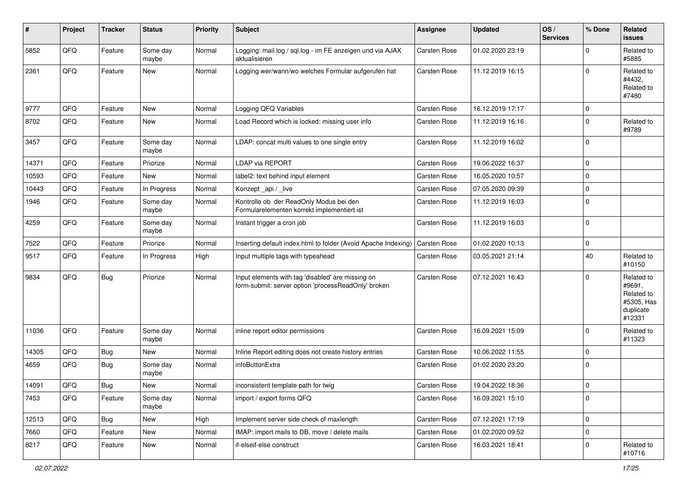| #     | Project | <b>Tracker</b> | <b>Status</b>     | <b>Priority</b> | <b>Subject</b>                                                                                           | <b>Assignee</b>     | <b>Updated</b>   | OS/<br><b>Services</b> | % Done         | Related<br>issues                                                       |
|-------|---------|----------------|-------------------|-----------------|----------------------------------------------------------------------------------------------------------|---------------------|------------------|------------------------|----------------|-------------------------------------------------------------------------|
| 5852  | QFQ     | Feature        | Some day<br>maybe | Normal          | Logging: mail.log / sql.log - im FE anzeigen und via AJAX<br>aktualisieren                               | Carsten Rose        | 01.02.2020 23:19 |                        | $\Omega$       | Related to<br>#5885                                                     |
| 2361  | QFQ     | Feature        | New               | Normal          | Logging wer/wann/wo welches Formular aufgerufen hat                                                      | <b>Carsten Rose</b> | 11.12.2019 16:15 |                        | $\Omega$       | Related to<br>#4432,<br>Related to<br>#7480                             |
| 9777  | QFQ     | Feature        | New               | Normal          | Logging QFQ Variables                                                                                    | Carsten Rose        | 16.12.2019 17:17 |                        | $\mathbf 0$    |                                                                         |
| 8702  | QFQ     | Feature        | <b>New</b>        | Normal          | Load Record which is locked: missing user info                                                           | <b>Carsten Rose</b> | 11.12.2019 16:16 |                        | 0              | Related to<br>#9789                                                     |
| 3457  | QFQ     | Feature        | Some day<br>maybe | Normal          | LDAP: concat multi values to one single entry                                                            | <b>Carsten Rose</b> | 11.12.2019 16:02 |                        | $\overline{0}$ |                                                                         |
| 14371 | QFQ     | Feature        | Priorize          | Normal          | LDAP via REPORT                                                                                          | <b>Carsten Rose</b> | 19.06.2022 16:37 |                        | $\overline{0}$ |                                                                         |
| 10593 | QFQ     | Feature        | New               | Normal          | label2: text behind input element                                                                        | <b>Carsten Rose</b> | 16.05.2020 10:57 |                        | $\Omega$       |                                                                         |
| 10443 | QFQ     | Feature        | In Progress       | Normal          | Konzept_api / _live                                                                                      | <b>Carsten Rose</b> | 07.05.2020 09:39 |                        | $\mathbf 0$    |                                                                         |
| 1946  | QFQ     | Feature        | Some day<br>maybe | Normal          | Kontrolle ob der ReadOnly Modus bei den<br>Formularelementen korrekt implementiert ist                   | <b>Carsten Rose</b> | 11.12.2019 16:03 |                        | $\Omega$       |                                                                         |
| 4259  | QFQ     | Feature        | Some day<br>maybe | Normal          | Instant trigger a cron job                                                                               | Carsten Rose        | 11.12.2019 16:03 |                        | $\overline{0}$ |                                                                         |
| 7522  | QFQ     | Feature        | Priorize          | Normal          | Inserting default index.html to folder (Avoid Apache Indexing)                                           | <b>Carsten Rose</b> | 01.02.2020 10:13 |                        | $\mathbf 0$    |                                                                         |
| 9517  | QFQ     | Feature        | In Progress       | High            | Input multiple tags with typeahead                                                                       | <b>Carsten Rose</b> | 03.05.2021 21:14 |                        | 40             | Related to<br>#10150                                                    |
| 9834  | QFQ     | Bug            | Priorize          | Normal          | Input elements with tag 'disabled' are missing on<br>form-submit: server option 'processReadOnly' broken | <b>Carsten Rose</b> | 07.12.2021 16:43 |                        | $\Omega$       | Related to<br>#9691,<br>Related to<br>#5305, Has<br>duplicate<br>#12331 |
| 11036 | QFQ     | Feature        | Some day<br>maybe | Normal          | inline report editor permissions                                                                         | <b>Carsten Rose</b> | 16.09.2021 15:09 |                        | $\overline{0}$ | Related to<br>#11323                                                    |
| 14305 | QFQ     | <b>Bug</b>     | New               | Normal          | Inline Report editing does not create history entries                                                    | <b>Carsten Rose</b> | 10.06.2022 11:55 |                        | $\mathbf 0$    |                                                                         |
| 4659  | QFQ     | Bug            | Some day<br>maybe | Normal          | infoButtonExtra                                                                                          | Carsten Rose        | 01.02.2020 23:20 |                        | $\overline{0}$ |                                                                         |
| 14091 | QFQ     | Bug            | <b>New</b>        | Normal          | inconsistent template path for twig                                                                      | <b>Carsten Rose</b> | 19.04.2022 18:36 |                        | $\overline{0}$ |                                                                         |
| 7453  | QFQ     | Feature        | Some day<br>maybe | Normal          | import / export forms QFQ                                                                                | Carsten Rose        | 16.09.2021 15:10 |                        | $\overline{0}$ |                                                                         |
| 12513 | QFQ     | <b>Bug</b>     | New               | High            | Implement server side check of maxlength                                                                 | Carsten Rose        | 07.12.2021 17:19 |                        | $\mathbf 0$    |                                                                         |
| 7660  | QFQ     | Feature        | New               | Normal          | IMAP: import mails to DB, move / delete mails                                                            | Carsten Rose        | 01.02.2020 09:52 |                        | $\mathbf 0$    |                                                                         |
| 8217  | QFQ     | Feature        | New               | Normal          | if-elseif-else construct                                                                                 | Carsten Rose        | 16.03.2021 18:41 |                        | $\mathbf 0$    | Related to<br>#10716                                                    |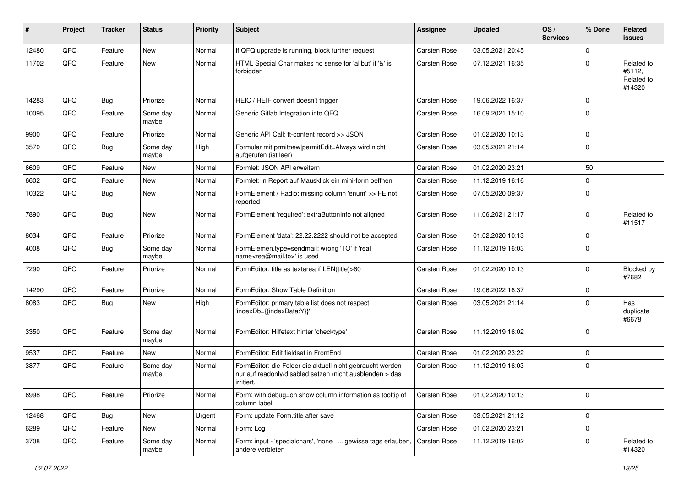| ∦     | Project | <b>Tracker</b> | <b>Status</b>     | <b>Priority</b> | <b>Subject</b>                                                                                                                      | <b>Assignee</b>     | <b>Updated</b>   | OS/<br><b>Services</b> | % Done      | Related<br>issues                            |
|-------|---------|----------------|-------------------|-----------------|-------------------------------------------------------------------------------------------------------------------------------------|---------------------|------------------|------------------------|-------------|----------------------------------------------|
| 12480 | QFQ     | Feature        | <b>New</b>        | Normal          | If QFQ upgrade is running, block further request                                                                                    | Carsten Rose        | 03.05.2021 20:45 |                        | $\mathbf 0$ |                                              |
| 11702 | QFQ     | Feature        | <b>New</b>        | Normal          | HTML Special Char makes no sense for 'allbut' if '&' is<br>forbidden                                                                | <b>Carsten Rose</b> | 07.12.2021 16:35 |                        | $\Omega$    | Related to<br>#5112,<br>Related to<br>#14320 |
| 14283 | QFQ     | <b>Bug</b>     | Priorize          | Normal          | HEIC / HEIF convert doesn't trigger                                                                                                 | <b>Carsten Rose</b> | 19.06.2022 16:37 |                        | $\mathbf 0$ |                                              |
| 10095 | QFQ     | Feature        | Some day<br>maybe | Normal          | Generic Gitlab Integration into QFQ                                                                                                 | <b>Carsten Rose</b> | 16.09.2021 15:10 |                        | $\mathbf 0$ |                                              |
| 9900  | QFQ     | Feature        | Priorize          | Normal          | Generic API Call: tt-content record >> JSON                                                                                         | <b>Carsten Rose</b> | 01.02.2020 10:13 |                        | $\mathbf 0$ |                                              |
| 3570  | QFQ     | <b>Bug</b>     | Some day<br>maybe | High            | Formular mit prmitnew permitEdit=Always wird nicht<br>aufgerufen (ist leer)                                                         | <b>Carsten Rose</b> | 03.05.2021 21:14 |                        | $\Omega$    |                                              |
| 6609  | QFQ     | Feature        | <b>New</b>        | Normal          | Formlet: JSON API erweitern                                                                                                         | <b>Carsten Rose</b> | 01.02.2020 23:21 |                        | 50          |                                              |
| 6602  | QFQ     | Feature        | New               | Normal          | Formlet: in Report auf Mausklick ein mini-form oeffnen                                                                              | <b>Carsten Rose</b> | 11.12.2019 16:16 |                        | $\mathbf 0$ |                                              |
| 10322 | QFQ     | <b>Bug</b>     | New               | Normal          | FormElement / Radio: missing column 'enum' >> FE not<br>reported                                                                    | <b>Carsten Rose</b> | 07.05.2020 09:37 |                        | $\Omega$    |                                              |
| 7890  | QFQ     | Bug            | <b>New</b>        | Normal          | FormElement 'required': extraButtonInfo not aligned                                                                                 | <b>Carsten Rose</b> | 11.06.2021 21:17 |                        | $\mathbf 0$ | Related to<br>#11517                         |
| 8034  | QFQ     | Feature        | Priorize          | Normal          | FormElement 'data': 22.22.2222 should not be accepted                                                                               | <b>Carsten Rose</b> | 01.02.2020 10:13 |                        | $\Omega$    |                                              |
| 4008  | QFQ     | Bug            | Some day<br>maybe | Normal          | FormElemen.type=sendmail: wrong 'TO' if 'real<br>name <rea@mail.to>' is used</rea@mail.to>                                          | <b>Carsten Rose</b> | 11.12.2019 16:03 |                        | $\Omega$    |                                              |
| 7290  | QFQ     | Feature        | Priorize          | Normal          | FormEditor: title as textarea if LEN(title)>60                                                                                      | <b>Carsten Rose</b> | 01.02.2020 10:13 |                        | $\Omega$    | Blocked by<br>#7682                          |
| 14290 | QFQ     | Feature        | Priorize          | Normal          | FormEditor: Show Table Definition                                                                                                   | <b>Carsten Rose</b> | 19.06.2022 16:37 |                        | $\mathbf 0$ |                                              |
| 8083  | QFQ     | <b>Bug</b>     | <b>New</b>        | High            | FormEditor: primary table list does not respect<br>'indexDb={{indexData:Y}}'                                                        | <b>Carsten Rose</b> | 03.05.2021 21:14 |                        | $\Omega$    | Has<br>duplicate<br>#6678                    |
| 3350  | QFQ     | Feature        | Some day<br>maybe | Normal          | FormEditor: Hilfetext hinter 'checktype'                                                                                            | Carsten Rose        | 11.12.2019 16:02 |                        | $\Omega$    |                                              |
| 9537  | QFQ     | Feature        | New               | Normal          | FormEditor: Edit fieldset in FrontEnd                                                                                               | <b>Carsten Rose</b> | 01.02.2020 23:22 |                        | $\Omega$    |                                              |
| 3877  | QFQ     | Feature        | Some day<br>maybe | Normal          | FormEditor: die Felder die aktuell nicht gebraucht werden<br>nur auf readonly/disabled setzen (nicht ausblenden > das<br>irritiert. | Carsten Rose        | 11.12.2019 16:03 |                        | $\mathbf 0$ |                                              |
| 6998  | QFQ     | Feature        | Priorize          | Normal          | Form: with debug=on show column information as tooltip of<br>column label                                                           | <b>Carsten Rose</b> | 01.02.2020 10:13 |                        | $\mathbf 0$ |                                              |
| 12468 | QFQ     | <b>Bug</b>     | New               | Urgent          | Form: update Form.title after save                                                                                                  | Carsten Rose        | 03.05.2021 21:12 |                        | $\mathbf 0$ |                                              |
| 6289  | QFQ     | Feature        | New               | Normal          | Form: Log                                                                                                                           | Carsten Rose        | 01.02.2020 23:21 |                        | $\mathbf 0$ |                                              |
| 3708  | QFQ     | Feature        | Some day<br>maybe | Normal          | Form: input - 'specialchars', 'none'  gewisse tags erlauben,<br>andere verbieten                                                    | <b>Carsten Rose</b> | 11.12.2019 16:02 |                        | 0           | Related to<br>#14320                         |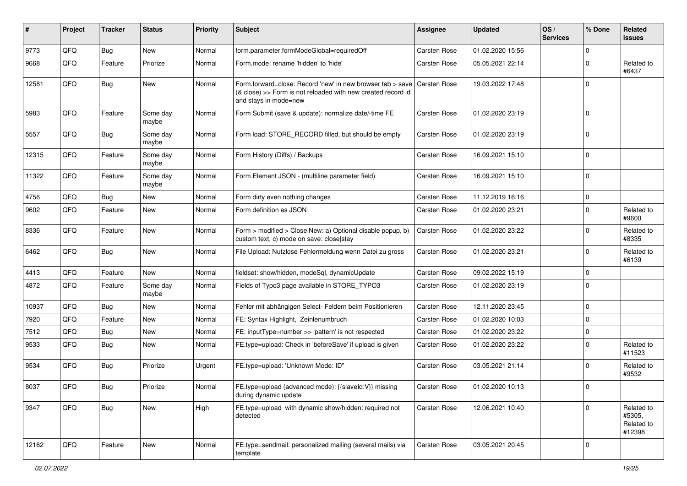| ∦     | Project | <b>Tracker</b> | <b>Status</b>     | <b>Priority</b> | <b>Subject</b>                                                                                                                                                   | <b>Assignee</b>     | <b>Updated</b>   | OS/<br><b>Services</b> | % Done      | Related<br>issues                            |
|-------|---------|----------------|-------------------|-----------------|------------------------------------------------------------------------------------------------------------------------------------------------------------------|---------------------|------------------|------------------------|-------------|----------------------------------------------|
| 9773  | QFQ     | <b>Bug</b>     | New               | Normal          | form.parameter.formModeGlobal=requiredOff                                                                                                                        | <b>Carsten Rose</b> | 01.02.2020 15:56 |                        | 0           |                                              |
| 9668  | QFQ     | Feature        | Priorize          | Normal          | Form.mode: rename 'hidden' to 'hide'                                                                                                                             | <b>Carsten Rose</b> | 05.05.2021 22:14 |                        | 0           | Related to<br>#6437                          |
| 12581 | QFQ     | <b>Bug</b>     | New               | Normal          | Form forward=close: Record 'new' in new browser tab > save Carsten Rose<br>(& close) >> Form is not reloaded with new created record id<br>and stays in mode=new |                     | 19.03.2022 17:48 |                        | 0           |                                              |
| 5983  | QFQ     | Feature        | Some dav<br>maybe | Normal          | Form Submit (save & update): normalize date/-time FE                                                                                                             | <b>Carsten Rose</b> | 01.02.2020 23:19 |                        | 0           |                                              |
| 5557  | QFQ     | Bug            | Some day<br>maybe | Normal          | Form load: STORE_RECORD filled, but should be empty                                                                                                              | <b>Carsten Rose</b> | 01.02.2020 23:19 |                        | $\mathbf 0$ |                                              |
| 12315 | QFQ     | Feature        | Some day<br>maybe | Normal          | Form History (Diffs) / Backups                                                                                                                                   | <b>Carsten Rose</b> | 16.09.2021 15:10 |                        | $\Omega$    |                                              |
| 11322 | QFQ     | Feature        | Some day<br>maybe | Normal          | Form Element JSON - (multiline parameter field)                                                                                                                  | <b>Carsten Rose</b> | 16.09.2021 15:10 |                        | $\Omega$    |                                              |
| 4756  | QFQ     | Bug            | New               | Normal          | Form dirty even nothing changes                                                                                                                                  | <b>Carsten Rose</b> | 11.12.2019 16:16 |                        | $\mathbf 0$ |                                              |
| 9602  | QFQ     | Feature        | New               | Normal          | Form definition as JSON                                                                                                                                          | <b>Carsten Rose</b> | 01.02.2020 23:21 |                        | 0           | Related to<br>#9600                          |
| 8336  | QFQ     | Feature        | New               | Normal          | Form > modified > Close New: a) Optional disable popup, b)<br>custom text, c) mode on save: close stay                                                           | <b>Carsten Rose</b> | 01.02.2020 23:22 |                        | 0           | Related to<br>#8335                          |
| 6462  | QFQ     | Bug            | <b>New</b>        | Normal          | File Upload: Nutzlose Fehlermeldung wenn Datei zu gross                                                                                                          | <b>Carsten Rose</b> | 01.02.2020 23:21 |                        | $\Omega$    | Related to<br>#6139                          |
| 4413  | QFQ     | Feature        | New               | Normal          | fieldset: show/hidden, modeSql, dynamicUpdate                                                                                                                    | <b>Carsten Rose</b> | 09.02.2022 15:19 |                        | $\mathbf 0$ |                                              |
| 4872  | QFQ     | Feature        | Some day<br>maybe | Normal          | Fields of Typo3 page available in STORE_TYPO3                                                                                                                    | <b>Carsten Rose</b> | 01.02.2020 23:19 |                        | 0           |                                              |
| 10937 | QFQ     | Bug            | New               | Normal          | Fehler mit abhängigen Select- Feldern beim Positionieren                                                                                                         | <b>Carsten Rose</b> | 12.11.2020 23:45 |                        | 0           |                                              |
| 7920  | QFQ     | Feature        | New               | Normal          | FE: Syntax Highlight, Zeinlenumbruch                                                                                                                             | <b>Carsten Rose</b> | 01.02.2020 10:03 |                        | 0           |                                              |
| 7512  | QFQ     | Bug            | New               | Normal          | FE: inputType=number >> 'pattern' is not respected                                                                                                               | Carsten Rose        | 01.02.2020 23:22 |                        | 0           |                                              |
| 9533  | QFQ     | Bug            | New               | Normal          | FE.type=upload: Check in 'beforeSave' if upload is given                                                                                                         | <b>Carsten Rose</b> | 01.02.2020 23:22 |                        | $\Omega$    | Related to<br>#11523                         |
| 9534  | QFQ     | Bug            | Priorize          | Urgent          | FE.type=upload: 'Unknown Mode: ID"                                                                                                                               | <b>Carsten Rose</b> | 03.05.2021 21:14 |                        | $\Omega$    | Related to<br>#9532                          |
| 8037  | QFQ     | <b>Bug</b>     | Priorize          | Normal          | FE.type=upload (advanced mode): {{slaveld:V}} missing<br>during dynamic update                                                                                   | <b>Carsten Rose</b> | 01.02.2020 10:13 |                        | $\Omega$    |                                              |
| 9347  | QFQ     | Bug            | New               | High            | FE.type=upload with dynamic show/hidden: required not<br>detected                                                                                                | Carsten Rose        | 12.06.2021 10:40 |                        | 0           | Related to<br>#5305,<br>Related to<br>#12398 |
| 12162 | QFQ     | Feature        | New               | Normal          | FE.type=sendmail: personalized mailing (several mails) via<br>template                                                                                           | Carsten Rose        | 03.05.2021 20:45 |                        | $\mathbf 0$ |                                              |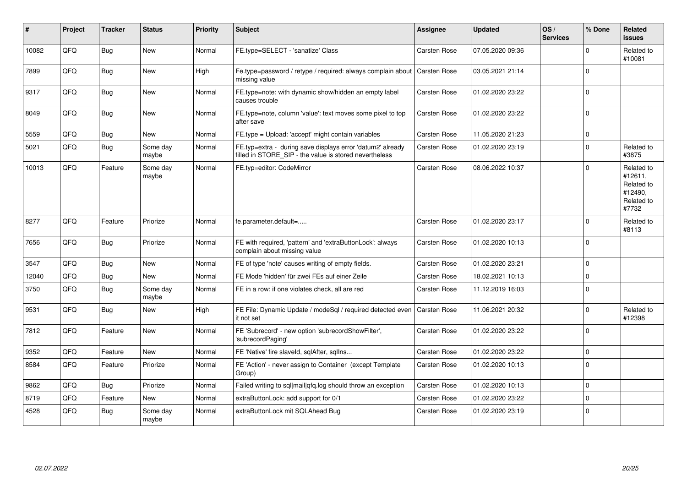| ∦     | Project | <b>Tracker</b> | <b>Status</b>     | <b>Priority</b> | Subject                                                                                                              | Assignee            | <b>Updated</b>   | OS/<br><b>Services</b> | % Done         | Related<br>issues                                                     |
|-------|---------|----------------|-------------------|-----------------|----------------------------------------------------------------------------------------------------------------------|---------------------|------------------|------------------------|----------------|-----------------------------------------------------------------------|
| 10082 | QFQ     | Bug            | <b>New</b>        | Normal          | FE.type=SELECT - 'sanatize' Class                                                                                    | <b>Carsten Rose</b> | 07.05.2020 09:36 |                        | $\Omega$       | Related to<br>#10081                                                  |
| 7899  | QFQ     | Bug            | New               | High            | Fe.type=password / retype / required: always complain about   Carsten Rose<br>missing value                          |                     | 03.05.2021 21:14 |                        | $\Omega$       |                                                                       |
| 9317  | QFQ     | Bug            | New               | Normal          | FE.type=note: with dynamic show/hidden an empty label<br>causes trouble                                              | <b>Carsten Rose</b> | 01.02.2020 23:22 |                        | $\mathbf 0$    |                                                                       |
| 8049  | QFQ     | Bug            | New               | Normal          | FE.type=note, column 'value': text moves some pixel to top<br>after save                                             | <b>Carsten Rose</b> | 01.02.2020 23:22 |                        | $\Omega$       |                                                                       |
| 5559  | QFQ     | Bug            | New               | Normal          | FE.type = Upload: 'accept' might contain variables                                                                   | <b>Carsten Rose</b> | 11.05.2020 21:23 |                        | $\Omega$       |                                                                       |
| 5021  | QFQ     | Bug            | Some day<br>maybe | Normal          | FE.typ=extra - during save displays error 'datum2' already<br>filled in STORE SIP - the value is stored nevertheless | Carsten Rose        | 01.02.2020 23:19 |                        | $\Omega$       | Related to<br>#3875                                                   |
| 10013 | QFQ     | Feature        | Some day<br>maybe | Normal          | FE.typ=editor: CodeMirror                                                                                            | Carsten Rose        | 08.06.2022 10:37 |                        | $\Omega$       | Related to<br>#12611.<br>Related to<br>#12490.<br>Related to<br>#7732 |
| 8277  | QFQ     | Feature        | Priorize          | Normal          | fe.parameter.default=                                                                                                | <b>Carsten Rose</b> | 01.02.2020 23:17 |                        | $\Omega$       | Related to<br>#8113                                                   |
| 7656  | QFQ     | Bug            | Priorize          | Normal          | FE with required, 'pattern' and 'extraButtonLock': always<br>complain about missing value                            | <b>Carsten Rose</b> | 01.02.2020 10:13 |                        | $\Omega$       |                                                                       |
| 3547  | QFQ     | Bug            | <b>New</b>        | Normal          | FE of type 'note' causes writing of empty fields.                                                                    | <b>Carsten Rose</b> | 01.02.2020 23:21 |                        | $\Omega$       |                                                                       |
| 12040 | QFQ     | Bug            | New               | Normal          | FE Mode 'hidden' für zwei FEs auf einer Zeile                                                                        | <b>Carsten Rose</b> | 18.02.2021 10:13 |                        | $\mathbf 0$    |                                                                       |
| 3750  | QFQ     | Bug            | Some day<br>maybe | Normal          | FE in a row: if one violates check, all are red                                                                      | <b>Carsten Rose</b> | 11.12.2019 16:03 |                        | $\Omega$       |                                                                       |
| 9531  | QFQ     | Bug            | <b>New</b>        | High            | FE File: Dynamic Update / modeSql / required detected even<br>it not set                                             | <b>Carsten Rose</b> | 11.06.2021 20:32 |                        | $\Omega$       | Related to<br>#12398                                                  |
| 7812  | QFQ     | Feature        | New               | Normal          | FE 'Subrecord' - new option 'subrecordShowFilter',<br>'subrecordPaging'                                              | <b>Carsten Rose</b> | 01.02.2020 23:22 |                        | $\Omega$       |                                                                       |
| 9352  | QFQ     | Feature        | <b>New</b>        | Normal          | FE 'Native' fire slaveld, sqlAfter, sqlIns                                                                           | Carsten Rose        | 01.02.2020 23:22 |                        | $\Omega$       |                                                                       |
| 8584  | QFQ     | Feature        | Priorize          | Normal          | FE 'Action' - never assign to Container (except Template<br>Group)                                                   | <b>Carsten Rose</b> | 01.02.2020 10:13 |                        | $\Omega$       |                                                                       |
| 9862  | QFQ     | Bug            | Priorize          | Normal          | Failed writing to sql mail qfq.log should throw an exception                                                         | <b>Carsten Rose</b> | 01.02.2020 10:13 |                        | $\Omega$       |                                                                       |
| 8719  | QFQ     | Feature        | New               | Normal          | extraButtonLock: add support for 0/1                                                                                 | <b>Carsten Rose</b> | 01.02.2020 23:22 |                        | $\Omega$       |                                                                       |
| 4528  | QFQ     | Bug            | Some day<br>maybe | Normal          | extraButtonLock mit SQLAhead Bug                                                                                     | <b>Carsten Rose</b> | 01.02.2020 23:19 |                        | $\overline{0}$ |                                                                       |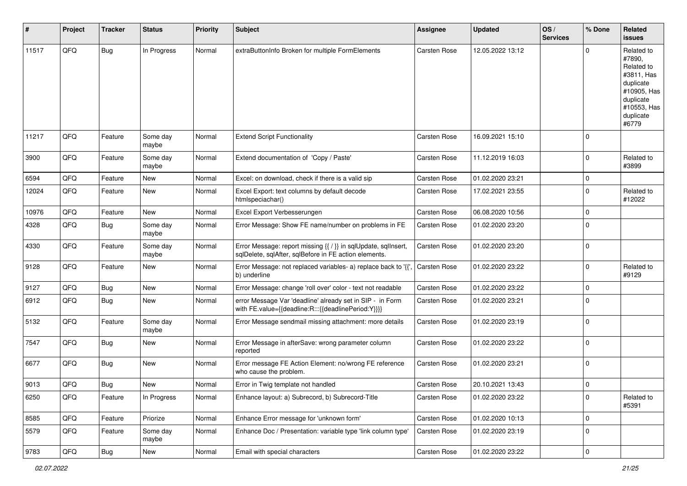| #     | Project        | <b>Tracker</b> | <b>Status</b>     | <b>Priority</b> | <b>Subject</b>                                                                                                          | <b>Assignee</b>     | <b>Updated</b>   | OS/<br><b>Services</b> | % Done       | Related<br>issues                                                                                                              |
|-------|----------------|----------------|-------------------|-----------------|-------------------------------------------------------------------------------------------------------------------------|---------------------|------------------|------------------------|--------------|--------------------------------------------------------------------------------------------------------------------------------|
| 11517 | QFQ            | <b>Bug</b>     | In Progress       | Normal          | extraButtonInfo Broken for multiple FormElements                                                                        | <b>Carsten Rose</b> | 12.05.2022 13:12 |                        | <sup>0</sup> | Related to<br>#7890,<br>Related to<br>#3811, Has<br>duplicate<br>#10905, Has<br>duplicate<br>#10553, Has<br>duplicate<br>#6779 |
| 11217 | QFQ            | Feature        | Some day<br>maybe | Normal          | <b>Extend Script Functionality</b>                                                                                      | <b>Carsten Rose</b> | 16.09.2021 15:10 |                        | $\Omega$     |                                                                                                                                |
| 3900  | QFQ            | Feature        | Some day<br>maybe | Normal          | Extend documentation of 'Copy / Paste'                                                                                  | Carsten Rose        | 11.12.2019 16:03 |                        | $\Omega$     | Related to<br>#3899                                                                                                            |
| 6594  | QFQ            | Feature        | New               | Normal          | Excel: on download, check if there is a valid sip                                                                       | <b>Carsten Rose</b> | 01.02.2020 23:21 |                        | $\mathbf 0$  |                                                                                                                                |
| 12024 | QFQ            | Feature        | New               | Normal          | Excel Export: text columns by default decode<br>htmlspeciachar()                                                        | <b>Carsten Rose</b> | 17.02.2021 23:55 |                        | 0            | Related to<br>#12022                                                                                                           |
| 10976 | QFQ            | Feature        | <b>New</b>        | Normal          | Excel Export Verbesserungen                                                                                             | <b>Carsten Rose</b> | 06.08.2020 10:56 |                        | $\mathbf 0$  |                                                                                                                                |
| 4328  | QFQ            | Bug            | Some day<br>maybe | Normal          | Error Message: Show FE name/number on problems in FE                                                                    | Carsten Rose        | 01.02.2020 23:20 |                        | $\Omega$     |                                                                                                                                |
| 4330  | QFQ            | Feature        | Some day<br>maybe | Normal          | Error Message: report missing {{ / }} in sqlUpdate, sqlInsert,<br>sqlDelete, sqlAfter, sqlBefore in FE action elements. | <b>Carsten Rose</b> | 01.02.2020 23:20 |                        | $\mathbf 0$  |                                                                                                                                |
| 9128  | QFQ            | Feature        | New               | Normal          | Error Message: not replaced variables- a) replace back to '{{'<br>b) underline                                          | Carsten Rose        | 01.02.2020 23:22 |                        | $\Omega$     | Related to<br>#9129                                                                                                            |
| 9127  | QFQ            | Bug            | New               | Normal          | Error Message: change 'roll over' color - text not readable                                                             | <b>Carsten Rose</b> | 01.02.2020 23:22 |                        | 0            |                                                                                                                                |
| 6912  | QFQ            | <b>Bug</b>     | New               | Normal          | error Message Var 'deadline' already set in SIP - in Form<br>with FE.value={{deadline:R:::{{deadlinePeriod:Y}}}}        | <b>Carsten Rose</b> | 01.02.2020 23:21 |                        | $\Omega$     |                                                                                                                                |
| 5132  | QFQ            | Feature        | Some day<br>maybe | Normal          | Error Message sendmail missing attachment: more details                                                                 | <b>Carsten Rose</b> | 01.02.2020 23:19 |                        | $\Omega$     |                                                                                                                                |
| 7547  | QFQ            | Bug            | New               | Normal          | Error Message in afterSave: wrong parameter column<br>reported                                                          | <b>Carsten Rose</b> | 01.02.2020 23:22 |                        | $\mathbf 0$  |                                                                                                                                |
| 6677  | QFQ            | Bug            | New               | Normal          | Error message FE Action Element: no/wrong FE reference<br>who cause the problem.                                        | <b>Carsten Rose</b> | 01.02.2020 23:21 |                        | 0            |                                                                                                                                |
| 9013  | QFQ            | Bug            | New               | Normal          | Error in Twig template not handled                                                                                      | <b>Carsten Rose</b> | 20.10.2021 13:43 |                        | $\mathbf 0$  |                                                                                                                                |
| 6250  | QFQ            | Feature        | In Progress       | Normal          | Enhance layout: a) Subrecord, b) Subrecord-Title                                                                        | Carsten Rose        | 01.02.2020 23:22 |                        | 0            | Related to<br>#5391                                                                                                            |
| 8585  | QFQ            | Feature        | Priorize          | Normal          | Enhance Error message for 'unknown form'                                                                                | Carsten Rose        | 01.02.2020 10:13 |                        | $\mathbf 0$  |                                                                                                                                |
| 5579  | QFQ            | Feature        | Some day<br>maybe | Normal          | Enhance Doc / Presentation: variable type 'link column type'                                                            | Carsten Rose        | 01.02.2020 23:19 |                        | 0            |                                                                                                                                |
| 9783  | $\mathsf{QFQ}$ | <b>Bug</b>     | New               | Normal          | Email with special characters                                                                                           | Carsten Rose        | 01.02.2020 23:22 |                        | 0            |                                                                                                                                |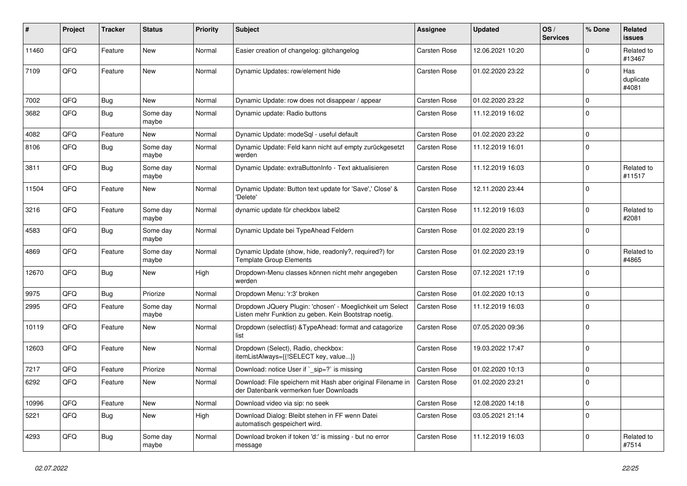| #     | Project | <b>Tracker</b> | <b>Status</b>     | <b>Priority</b> | <b>Subject</b>                                                                                                     | <b>Assignee</b>     | <b>Updated</b>   | OS/<br><b>Services</b> | % Done      | Related<br><b>issues</b>  |
|-------|---------|----------------|-------------------|-----------------|--------------------------------------------------------------------------------------------------------------------|---------------------|------------------|------------------------|-------------|---------------------------|
| 11460 | QFQ     | Feature        | New               | Normal          | Easier creation of changelog: gitchangelog                                                                         | <b>Carsten Rose</b> | 12.06.2021 10:20 |                        | 0           | Related to<br>#13467      |
| 7109  | QFQ     | Feature        | New               | Normal          | Dynamic Updates: row/element hide                                                                                  | <b>Carsten Rose</b> | 01.02.2020 23:22 |                        | 0           | Has<br>duplicate<br>#4081 |
| 7002  | QFQ     | Bug            | <b>New</b>        | Normal          | Dynamic Update: row does not disappear / appear                                                                    | <b>Carsten Rose</b> | 01.02.2020 23:22 |                        | 0           |                           |
| 3682  | QFQ     | Bug            | Some day<br>maybe | Normal          | Dynamic update: Radio buttons                                                                                      | <b>Carsten Rose</b> | 11.12.2019 16:02 |                        | $\Omega$    |                           |
| 4082  | QFQ     | Feature        | New               | Normal          | Dynamic Update: modeSql - useful default                                                                           | <b>Carsten Rose</b> | 01.02.2020 23:22 |                        | 0           |                           |
| 8106  | QFQ     | Bug            | Some day<br>maybe | Normal          | Dynamic Update: Feld kann nicht auf empty zurückgesetzt<br>werden                                                  | <b>Carsten Rose</b> | 11.12.2019 16:01 |                        | 0           |                           |
| 3811  | QFQ     | <b>Bug</b>     | Some day<br>maybe | Normal          | Dynamic Update: extraButtonInfo - Text aktualisieren                                                               | <b>Carsten Rose</b> | 11.12.2019 16:03 |                        | 0           | Related to<br>#11517      |
| 11504 | QFQ     | Feature        | New               | Normal          | Dynamic Update: Button text update for 'Save',' Close' &<br>'Delete'                                               | <b>Carsten Rose</b> | 12.11.2020 23:44 |                        | $\Omega$    |                           |
| 3216  | QFQ     | Feature        | Some day<br>maybe | Normal          | dynamic update für checkbox label2                                                                                 | <b>Carsten Rose</b> | 11.12.2019 16:03 |                        | 0           | Related to<br>#2081       |
| 4583  | QFQ     | Bug            | Some day<br>maybe | Normal          | Dynamic Update bei TypeAhead Feldern                                                                               | <b>Carsten Rose</b> | 01.02.2020 23:19 |                        | $\Omega$    |                           |
| 4869  | QFQ     | Feature        | Some day<br>maybe | Normal          | Dynamic Update (show, hide, readonly?, required?) for<br><b>Template Group Elements</b>                            | <b>Carsten Rose</b> | 01.02.2020 23:19 |                        | 0           | Related to<br>#4865       |
| 12670 | QFQ     | Bug            | New               | High            | Dropdown-Menu classes können nicht mehr angegeben<br>werden                                                        | <b>Carsten Rose</b> | 07.12.2021 17:19 |                        | $\Omega$    |                           |
| 9975  | QFQ     | Bug            | Priorize          | Normal          | Dropdown Menu: 'r:3' broken                                                                                        | <b>Carsten Rose</b> | 01.02.2020 10:13 |                        | 0           |                           |
| 2995  | QFQ     | Feature        | Some day<br>maybe | Normal          | Dropdown JQuery Plugin: 'chosen' - Moeglichkeit um Select<br>Listen mehr Funktion zu geben. Kein Bootstrap noetig. | Carsten Rose        | 11.12.2019 16:03 |                        | $\Omega$    |                           |
| 10119 | QFQ     | Feature        | New               | Normal          | Dropdown (selectlist) & Type Ahead: format and catagorize<br>list                                                  | <b>Carsten Rose</b> | 07.05.2020 09:36 |                        | 0           |                           |
| 12603 | QFQ     | Feature        | New               | Normal          | Dropdown (Select), Radio, checkbox:<br>itemListAlways={{!SELECT key, value}}                                       | <b>Carsten Rose</b> | 19.03.2022 17:47 |                        | $\Omega$    |                           |
| 7217  | QFQ     | Feature        | Priorize          | Normal          | Download: notice User if ` sip=?` is missing                                                                       | <b>Carsten Rose</b> | 01.02.2020 10:13 |                        | 0           |                           |
| 6292  | QFQ     | Feature        | New               | Normal          | Download: File speichern mit Hash aber original Filename in<br>der Datenbank vermerken fuer Downloads              | <b>Carsten Rose</b> | 01.02.2020 23:21 |                        | $\Omega$    |                           |
| 10996 | QFQ     | Feature        | <b>New</b>        | Normal          | Download video via sip: no seek                                                                                    | Carsten Rose        | 12.08.2020 14:18 |                        | $\mathbf 0$ |                           |
| 5221  | QFQ     | <b>Bug</b>     | New               | High            | Download Dialog: Bleibt stehen in FF wenn Datei<br>automatisch gespeichert wird.                                   | Carsten Rose        | 03.05.2021 21:14 |                        | 0           |                           |
| 4293  | QFQ     | <b>Bug</b>     | Some day<br>maybe | Normal          | Download broken if token 'd:' is missing - but no error<br>message                                                 | Carsten Rose        | 11.12.2019 16:03 |                        | $\mathbf 0$ | Related to<br>#7514       |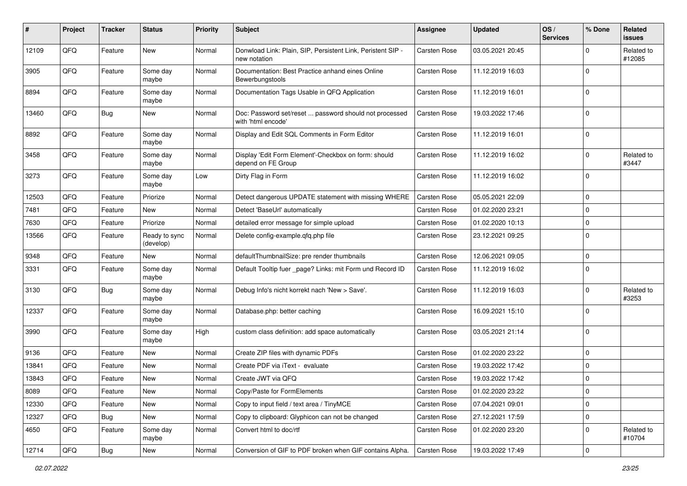| #     | Project | <b>Tracker</b> | <b>Status</b>              | <b>Priority</b> | <b>Subject</b>                                                               | <b>Assignee</b>     | <b>Updated</b>   | OS/<br><b>Services</b> | % Done       | Related<br>issues    |
|-------|---------|----------------|----------------------------|-----------------|------------------------------------------------------------------------------|---------------------|------------------|------------------------|--------------|----------------------|
| 12109 | QFQ     | Feature        | New                        | Normal          | Donwload Link: Plain, SIP, Persistent Link, Peristent SIP -<br>new notation  | <b>Carsten Rose</b> | 03.05.2021 20:45 |                        | $\Omega$     | Related to<br>#12085 |
| 3905  | QFQ     | Feature        | Some day<br>maybe          | Normal          | Documentation: Best Practice anhand eines Online<br>Bewerbungstools          | <b>Carsten Rose</b> | 11.12.2019 16:03 |                        | $\mathbf 0$  |                      |
| 8894  | QFQ     | Feature        | Some day<br>maybe          | Normal          | Documentation Tags Usable in QFQ Application                                 | <b>Carsten Rose</b> | 11.12.2019 16:01 |                        | 0            |                      |
| 13460 | QFQ     | Bug            | New                        | Normal          | Doc: Password set/reset  password should not processed<br>with 'html encode' | <b>Carsten Rose</b> | 19.03.2022 17:46 |                        | $\mathbf 0$  |                      |
| 8892  | QFQ     | Feature        | Some day<br>maybe          | Normal          | Display and Edit SQL Comments in Form Editor                                 | <b>Carsten Rose</b> | 11.12.2019 16:01 |                        | $\mathbf 0$  |                      |
| 3458  | QFQ     | Feature        | Some day<br>maybe          | Normal          | Display 'Edit Form Element'-Checkbox on form: should<br>depend on FE Group   | Carsten Rose        | 11.12.2019 16:02 |                        | $\mathbf 0$  | Related to<br>#3447  |
| 3273  | QFQ     | Feature        | Some day<br>maybe          | Low             | Dirty Flag in Form                                                           | <b>Carsten Rose</b> | 11.12.2019 16:02 |                        | $\Omega$     |                      |
| 12503 | QFQ     | Feature        | Priorize                   | Normal          | Detect dangerous UPDATE statement with missing WHERE                         | <b>Carsten Rose</b> | 05.05.2021 22:09 |                        | $\mathbf 0$  |                      |
| 7481  | QFQ     | Feature        | New                        | Normal          | Detect 'BaseUrl' automatically                                               | <b>Carsten Rose</b> | 01.02.2020 23:21 |                        | $\mathbf 0$  |                      |
| 7630  | QFQ     | Feature        | Priorize                   | Normal          | detailed error message for simple upload                                     | <b>Carsten Rose</b> | 01.02.2020 10:13 |                        | $\mathbf 0$  |                      |
| 13566 | QFQ     | Feature        | Ready to sync<br>(develop) | Normal          | Delete config-example.qfq.php file                                           | Carsten Rose        | 23.12.2021 09:25 |                        | 0            |                      |
| 9348  | QFQ     | Feature        | New                        | Normal          | defaultThumbnailSize: pre render thumbnails                                  | <b>Carsten Rose</b> | 12.06.2021 09:05 |                        | $\mathbf 0$  |                      |
| 3331  | QFQ     | Feature        | Some day<br>maybe          | Normal          | Default Tooltip fuer _page? Links: mit Form und Record ID                    | <b>Carsten Rose</b> | 11.12.2019 16:02 |                        | $\Omega$     |                      |
| 3130  | QFQ     | <b>Bug</b>     | Some day<br>maybe          | Normal          | Debug Info's nicht korrekt nach 'New > Save'.                                | Carsten Rose        | 11.12.2019 16:03 |                        | $\Omega$     | Related to<br>#3253  |
| 12337 | QFQ     | Feature        | Some day<br>maybe          | Normal          | Database.php: better caching                                                 | <b>Carsten Rose</b> | 16.09.2021 15:10 |                        | $\Omega$     |                      |
| 3990  | QFQ     | Feature        | Some day<br>maybe          | High            | custom class definition: add space automatically                             | Carsten Rose        | 03.05.2021 21:14 |                        | $\mathbf{0}$ |                      |
| 9136  | QFQ     | Feature        | New                        | Normal          | Create ZIP files with dynamic PDFs                                           | <b>Carsten Rose</b> | 01.02.2020 23:22 |                        | $\mathbf{0}$ |                      |
| 13841 | QFQ     | Feature        | New                        | Normal          | Create PDF via iText - evaluate                                              | <b>Carsten Rose</b> | 19.03.2022 17:42 |                        | $\mathbf 0$  |                      |
| 13843 | QFQ     | Feature        | <b>New</b>                 | Normal          | Create JWT via QFQ                                                           | Carsten Rose        | 19.03.2022 17:42 |                        | $\mathbf 0$  |                      |
| 8089  | QFQ     | Feature        | New                        | Normal          | Copy/Paste for FormElements                                                  | Carsten Rose        | 01.02.2020 23:22 |                        | 0            |                      |
| 12330 | QFQ     | Feature        | New                        | Normal          | Copy to input field / text area / TinyMCE                                    | Carsten Rose        | 07.04.2021 09:01 |                        | 0            |                      |
| 12327 | QFQ     | <b>Bug</b>     | New                        | Normal          | Copy to clipboard: Glyphicon can not be changed                              | Carsten Rose        | 27.12.2021 17:59 |                        | 0            |                      |
| 4650  | QFQ     | Feature        | Some day<br>maybe          | Normal          | Convert html to doc/rtf                                                      | Carsten Rose        | 01.02.2020 23:20 |                        | 0            | Related to<br>#10704 |
| 12714 | QFG     | <b>Bug</b>     | New                        | Normal          | Conversion of GIF to PDF broken when GIF contains Alpha.                     | <b>Carsten Rose</b> | 19.03.2022 17:49 |                        | 0            |                      |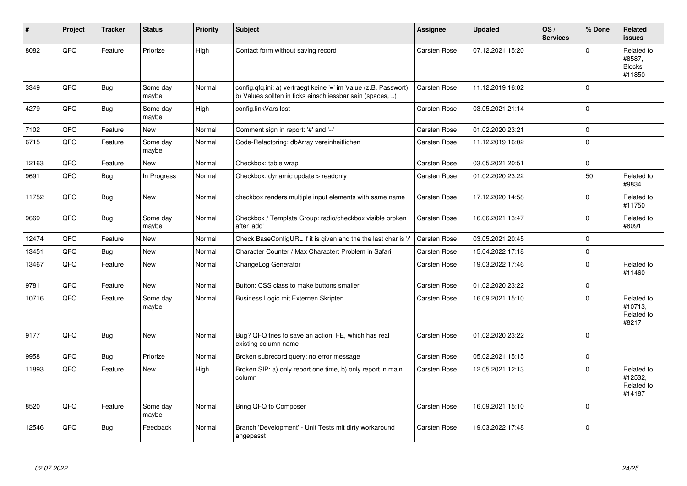| #     | Project | <b>Tracker</b> | <b>Status</b>     | <b>Priority</b> | Subject                                                                                                                       | Assignee            | <b>Updated</b>   | OS/<br><b>Services</b> | % Done      | Related<br><b>issues</b>                        |
|-------|---------|----------------|-------------------|-----------------|-------------------------------------------------------------------------------------------------------------------------------|---------------------|------------------|------------------------|-------------|-------------------------------------------------|
| 8082  | QFQ     | Feature        | Priorize          | High            | Contact form without saving record                                                                                            | <b>Carsten Rose</b> | 07.12.2021 15:20 |                        | $\Omega$    | Related to<br>#8587.<br><b>Blocks</b><br>#11850 |
| 3349  | QFQ     | Bug            | Some day<br>maybe | Normal          | config.qfq.ini: a) vertraegt keine '=' im Value (z.B. Passwort),<br>b) Values sollten in ticks einschliessbar sein (spaces, ) | <b>Carsten Rose</b> | 11.12.2019 16:02 |                        | $\mathbf 0$ |                                                 |
| 4279  | QFQ     | <b>Bug</b>     | Some day<br>maybe | High            | config.linkVars lost                                                                                                          | <b>Carsten Rose</b> | 03.05.2021 21:14 |                        | $\Omega$    |                                                 |
| 7102  | QFQ     | Feature        | New               | Normal          | Comment sign in report: '#' and '--'                                                                                          | Carsten Rose        | 01.02.2020 23:21 |                        | $\Omega$    |                                                 |
| 6715  | QFQ     | Feature        | Some day<br>maybe | Normal          | Code-Refactoring: dbArray vereinheitlichen                                                                                    | <b>Carsten Rose</b> | 11.12.2019 16:02 |                        | $\mathbf 0$ |                                                 |
| 12163 | QFQ     | Feature        | New               | Normal          | Checkbox: table wrap                                                                                                          | <b>Carsten Rose</b> | 03.05.2021 20:51 |                        | $\Omega$    |                                                 |
| 9691  | QFQ     | Bug            | In Progress       | Normal          | Checkbox: dynamic update $>$ readonly                                                                                         | <b>Carsten Rose</b> | 01.02.2020 23:22 |                        | 50          | Related to<br>#9834                             |
| 11752 | QFQ     | Bug            | <b>New</b>        | Normal          | checkbox renders multiple input elements with same name                                                                       | <b>Carsten Rose</b> | 17.12.2020 14:58 |                        | $\Omega$    | Related to<br>#11750                            |
| 9669  | QFQ     | <b>Bug</b>     | Some day<br>maybe | Normal          | Checkbox / Template Group: radio/checkbox visible broken<br>after 'add'                                                       | Carsten Rose        | 16.06.2021 13:47 |                        | $\Omega$    | Related to<br>#8091                             |
| 12474 | QFQ     | Feature        | New               | Normal          | Check BaseConfigURL if it is given and the the last char is '/'                                                               | <b>Carsten Rose</b> | 03.05.2021 20:45 |                        | $\Omega$    |                                                 |
| 13451 | QFQ     | Bug            | <b>New</b>        | Normal          | Character Counter / Max Character: Problem in Safari                                                                          | <b>Carsten Rose</b> | 15.04.2022 17:18 |                        | $\Omega$    |                                                 |
| 13467 | QFQ     | Feature        | New               | Normal          | ChangeLog Generator                                                                                                           | <b>Carsten Rose</b> | 19.03.2022 17:46 |                        | $\Omega$    | Related to<br>#11460                            |
| 9781  | QFQ     | Feature        | <b>New</b>        | Normal          | Button: CSS class to make buttons smaller                                                                                     | <b>Carsten Rose</b> | 01.02.2020 23:22 |                        | $\mathbf 0$ |                                                 |
| 10716 | QFQ     | Feature        | Some day<br>maybe | Normal          | Business Logic mit Externen Skripten                                                                                          | <b>Carsten Rose</b> | 16.09.2021 15:10 |                        | $\Omega$    | Related to<br>#10713,<br>Related to<br>#8217    |
| 9177  | QFQ     | Bug            | New               | Normal          | Bug? QFQ tries to save an action FE, which has real<br>existing column name                                                   | Carsten Rose        | 01.02.2020 23:22 |                        | $\mathbf 0$ |                                                 |
| 9958  | QFQ     | Bug            | Priorize          | Normal          | Broken subrecord query: no error message                                                                                      | <b>Carsten Rose</b> | 05.02.2021 15:15 |                        | $\mathbf 0$ |                                                 |
| 11893 | QFQ     | Feature        | New               | High            | Broken SIP: a) only report one time, b) only report in main<br>column                                                         | <b>Carsten Rose</b> | 12.05.2021 12:13 |                        | $\mathbf 0$ | Related to<br>#12532,<br>Related to<br>#14187   |
| 8520  | QFQ     | Feature        | Some day<br>maybe | Normal          | Bring QFQ to Composer                                                                                                         | <b>Carsten Rose</b> | 16.09.2021 15:10 |                        | $\Omega$    |                                                 |
| 12546 | QFQ     | Bug            | Feedback          | Normal          | Branch 'Development' - Unit Tests mit dirty workaround<br>angepasst                                                           | <b>Carsten Rose</b> | 19.03.2022 17:48 |                        | $\Omega$    |                                                 |